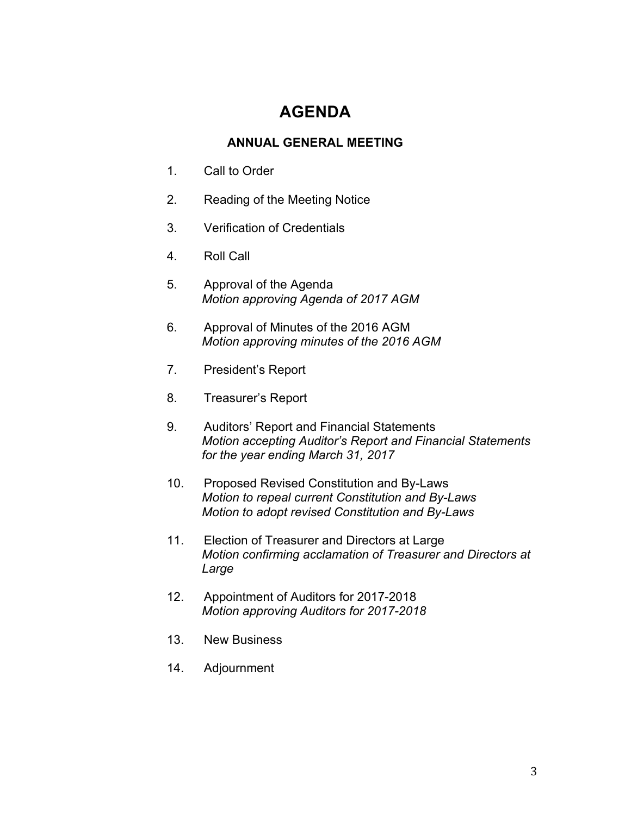# **AGENDA**

# **ANNUAL GENERAL MEETING**

- 1. Call to Order
- 2. Reading of the Meeting Notice
- 3. Verification of Credentials
- 4. Roll Call
- 5. Approval of the Agenda *Motion approving Agenda of 2017 AGM*
- 6. Approval of Minutes of the 2016 AGM *Motion approving minutes of the 2016 AGM*
- 7. President's Report
- 8. Treasurer's Report
- 9. Auditors' Report and Financial Statements *Motion accepting Auditor's Report and Financial Statements for the year ending March 31, 2017*
- 10. Proposed Revised Constitution and By-Laws *Motion to repeal current Constitution and By-Laws Motion to adopt revised Constitution and By-Laws*
- 11. Election of Treasurer and Directors at Large *Motion confirming acclamation of Treasurer and Directors at Large*
- 12. Appointment of Auditors for 2017-2018 *Motion approving Auditors for 2017-2018*
- 13. New Business
- 14. Adjournment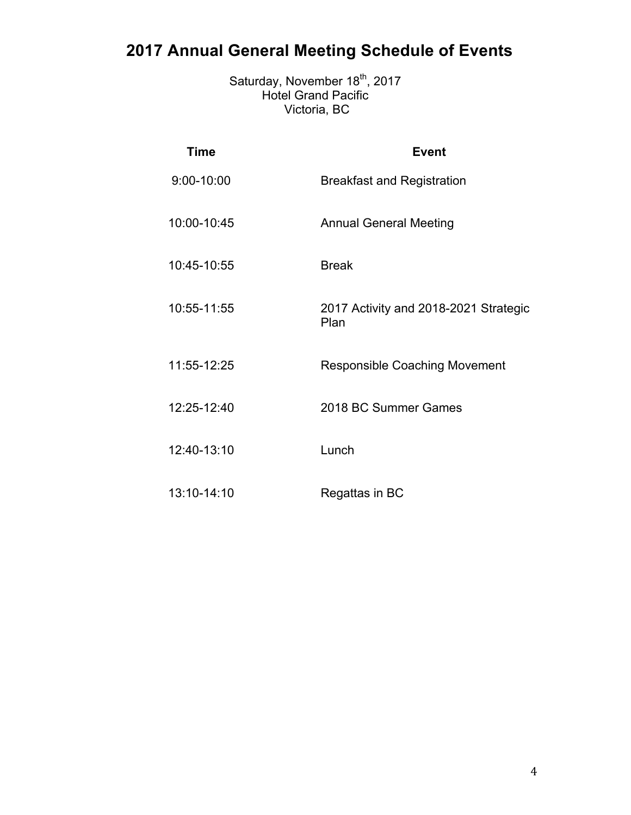# **2017 Annual General Meeting Schedule of Events**

Saturday, November 18<sup>th</sup>, 2017 Hotel Grand Pacific Victoria, BC

| <b>Time</b> | <b>Event</b>                                  |
|-------------|-----------------------------------------------|
| 9:00-10:00  | <b>Breakfast and Registration</b>             |
| 10:00-10:45 | <b>Annual General Meeting</b>                 |
| 10:45-10:55 | <b>Break</b>                                  |
| 10:55-11:55 | 2017 Activity and 2018-2021 Strategic<br>Plan |
| 11:55-12:25 | <b>Responsible Coaching Movement</b>          |
| 12:25-12:40 | 2018 BC Summer Games                          |
| 12:40-13:10 | Lunch                                         |
| 13:10-14:10 | Regattas in BC                                |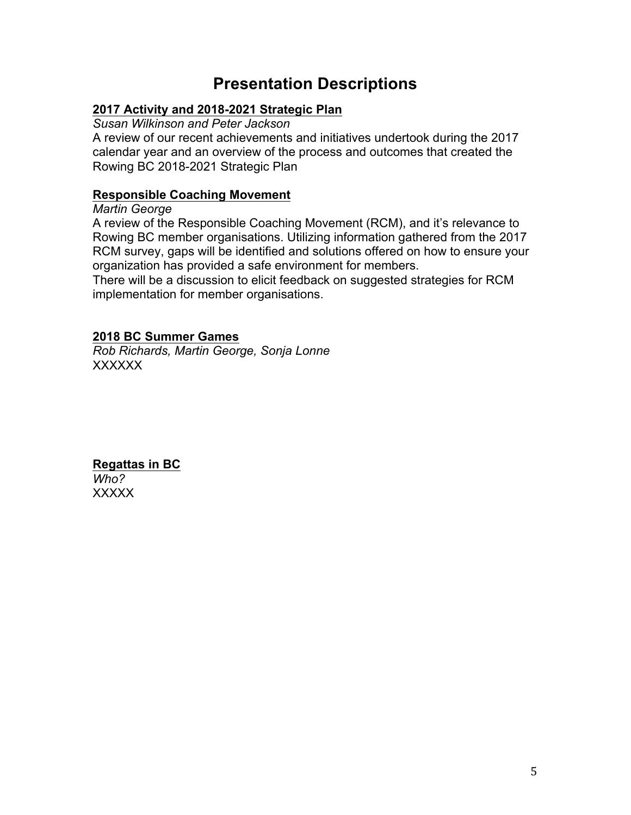# **Presentation Descriptions**

# **2017 Activity and 2018-2021 Strategic Plan**

*Susan Wilkinson and Peter Jackson* 

A review of our recent achievements and initiatives undert $\alpha\setminus\alpha$  during the 2017 calendar year and an overview of the process<sup>\*</sup> and outcomes that created the Rowing BC 2018-2021 Strategic Plan

# **Responsible Coaching Movement**

*Martin George* 

A review of the Responsible Coaching Movement (RCM), and it's relevance to Rowing BC member organisations. Utilizing information gathered from the 2017 RCM survey, gaps will be identified and solutions offered on how to ensure your organization has provided a safe environment for members.

There will be a discussion to elicit feedback on suggested strategies for RCM implementation for member organisations.

# **2018 BC Summer Games**

*Rob Richards, Martin George, Sonja Lonne*  7KMRQZOOSURYLGHDQRYHUYLHRIJRDOVHOLJLELOLWDQGWLPHOLQHV UHJDUGLQJWKH%&6XPPHUDPHV

# 5HJDWWDVLQ%ULWLVK&ROXPELD

*Regatta Committee* A round-table discussion designed to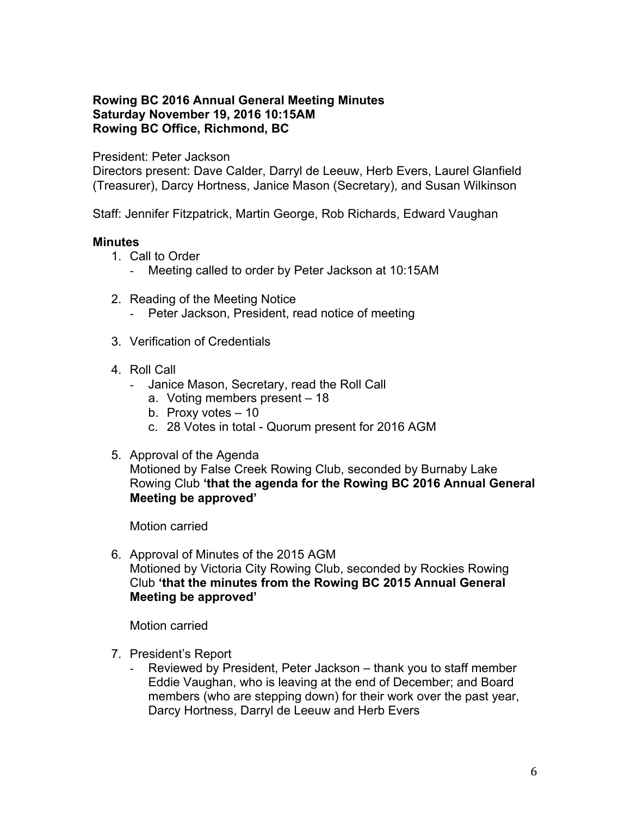# **Rowing BC 2016 Annual General Meeting Minutes Saturday November 19, 2016 10:15AM Rowing BC Office, Richmond, BC**

# President: Peter Jackson

Directors present: Dave Calder, Darryl de Leeuw, Herb Evers, Laurel Glanfield (Treasurer), Darcy Hortness, Janice Mason (Secretary), and Susan Wilkinson

Staff: Jennifer Fitzpatrick, Martin George, Rob Richards, Edward Vaughan

# **Minutes**

- 1. Call to Order
	- Meeting called to order by Peter Jackson at 10:15AM
- 2. Reading of the Meeting Notice
	- Peter Jackson, President, read notice of meeting
- 3. Verification of Credentials
- 4. Roll Call
	- Janice Mason, Secretary, read the Roll Call
		- a. Voting members present 18
		- b. Proxy votes 10
		- c. 28 Votes in total Quorum present for 2016 AGM
- 5. Approval of the Agenda

Motioned by False Creek Rowing Club, seconded by Burnaby Lake Rowing Club **'that the agenda for the Rowing BC 2016 Annual General Meeting be approved'**

Motion carried

6. Approval of Minutes of the 2015 AGM Motioned by Victoria City Rowing Club, seconded by Rockies Rowing Club **'that the minutes from the Rowing BC 2015 Annual General Meeting be approved'**

Motion carried

- 7. President's Report
	- Reviewed by President, Peter Jackson thank you to staff member Eddie Vaughan, who is leaving at the end of December; and Board members (who are stepping down) for their work over the past year, Darcy Hortness, Darryl de Leeuw and Herb Evers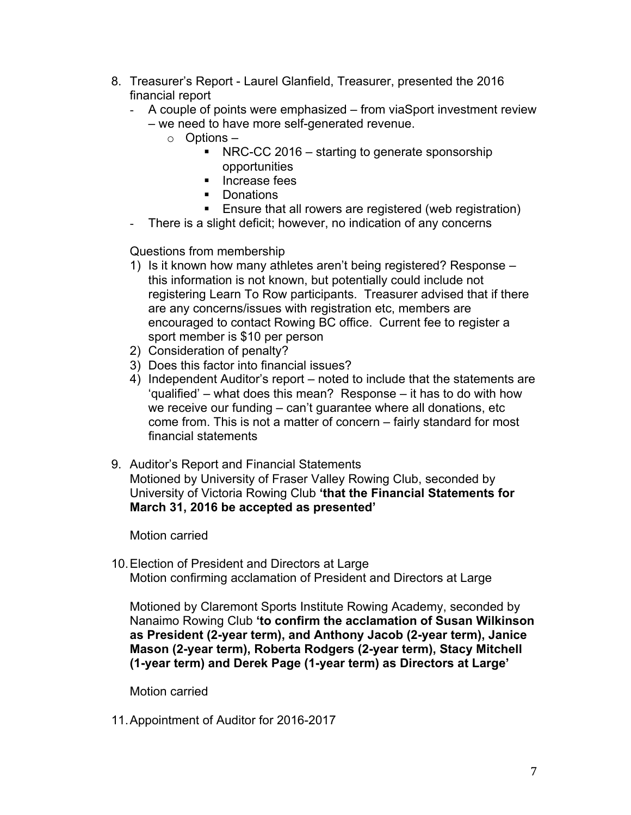- 8. Treasurer's Report Laurel Glanfield, Treasurer, presented the 2016 financial report
	- A couple of points were emphasized from viaSport investment review – we need to have more self-generated revenue.
		- o Options
			- NRC-CC 2016 starting to generate sponsorship opportunities
			- Increase fees
			- Donations
			- Ensure that all rowers are registered (web registration)
	- There is a slight deficit; however, no indication of any concerns

Questions from membership

- 1) Is it known how many athletes aren't being registered? Response this information is not known, but potentially could include not registering Learn To Row participants. Treasurer advised that if there are any concerns/issues with registration etc, members are encouraged to contact Rowing BC office. Current fee to register a sport member is \$10 per person
- 2) Consideration of penalty?
- 3) Does this factor into financial issues?
- 4) Independent Auditor's report noted to include that the statements are 'qualified' – what does this mean? Response – it has to do with how we receive our funding – can't guarantee where all donations, etc come from. This is not a matter of concern – fairly standard for most financial statements
- 9. Auditor's Report and Financial Statements Motioned by University of Fraser Valley Rowing Club, seconded by University of Victoria Rowing Club **'that the Financial Statements for March 31, 2016 be accepted as presented'**

Motion carried

10.Election of President and Directors at Large Motion confirming acclamation of President and Directors at Large

Motioned by Claremont Sports Institute Rowing Academy, seconded by Nanaimo Rowing Club **'to confirm the acclamation of Susan Wilkinson as President (2-year term), and Anthony Jacob (2-year term), Janice Mason (2-year term), Roberta Rodgers (2-year term), Stacy Mitchell (1-year term) and Derek Page (1-year term) as Directors at Large'**

Motion carried

11.Appointment of Auditor for 2016-2017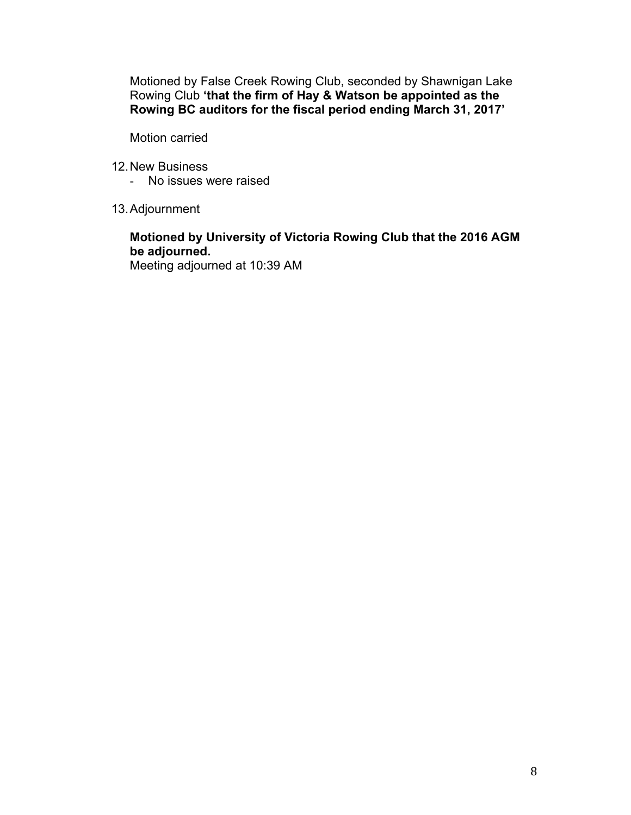Motioned by False Creek Rowing Club, seconded by Shawnigan Lake Rowing Club **'that the firm of Hay & Watson be appointed as the Rowing BC auditors for the fiscal period ending March 31, 2017'**

Motion carried

- 12.New Business
	- No issues were raised
- 13.Adjournment

# **Motioned by University of Victoria Rowing Club that the 2016 AGM be adjourned.**

Meeting adjourned at 10:39 AM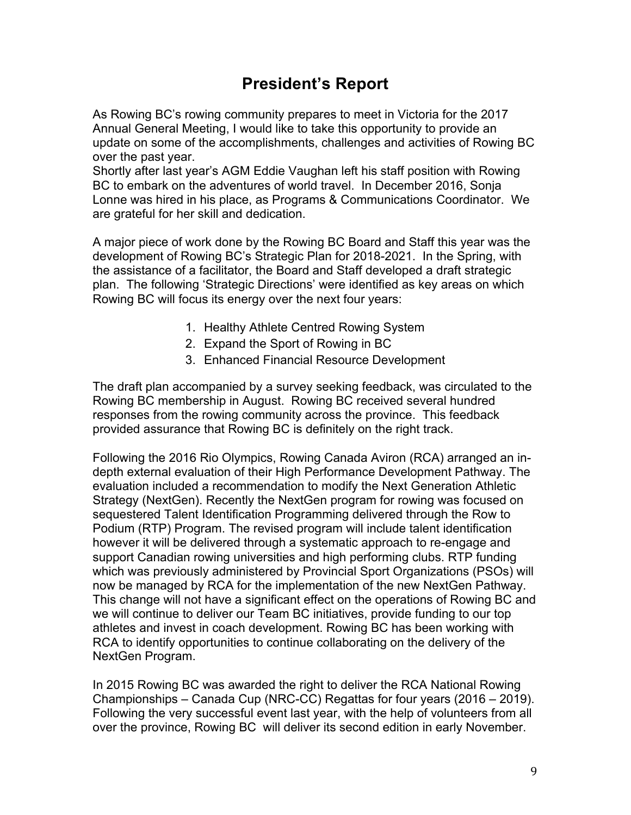# **President's Report**

As Rowing BC's rowing community prepares to meet in Victoria for the 2017 Annual General Meeting, I would like to take this opportunity to provide an update on some of the accomplishments, challenges and activities of Rowing BC over the past year.

Shortly after last year's AGM Eddie Vaughan left his staff position with Rowing BC to embark on the adventures of world travel. In December 2016, Sonja Lonne was hired in his place, as Programs & Communications Coordinator. We are grateful for her skill and dedication.

A major piece of work done by the Rowing BC Board and Staff this year was the development of Rowing BC's Strategic Plan for 2018-2021. In the Spring, with the assistance of a facilitator, the Board and Staff developed a draft strategic plan. The following 'Strategic Directions' were identified as key areas on which Rowing BC will focus its energy over the next four years:

- 1. Healthy Athlete Centred Rowing System
- 2. Expand the Sport of Rowing in BC
- 3. Enhanced Financial Resource Development

The draft plan accompanied by a survey seeking feedback, was circulated to the Rowing BC membership in August. Rowing BC received several hundred responses from the rowing community across the province. This feedback provided assurance that Rowing BC is definitely on the right track.

Following the 2016 Rio Olympics, Rowing Canada Aviron (RCA) arranged an indepth external evaluation of their High Performance Development Pathway. The evaluation included a recommendation to modify the Next Generation Athletic Strategy (NextGen). Recently the NextGen program for rowing was focused on sequestered Talent Identification Programming delivered through the Row to Podium (RTP) Program. The revised program will include talent identification however it will be delivered through a systematic approach to re-engage and support Canadian rowing universities and high performing clubs. RTP funding which was previously administered by Provincial Sport Organizations (PSOs) will now be managed by RCA for the implementation of the new NextGen Pathway. This change will not have a significant effect on the operations of Rowing BC and we will continue to deliver our Team BC initiatives, provide funding to our top athletes and invest in coach development. Rowing BC has been working with RCA to identify opportunities to continue collaborating on the delivery of the NextGen Program.

In 2015 Rowing BC was awarded the right to deliver the RCA National Rowing Championships – Canada Cup (NRC-CC) Regattas for four years (2016 – 2019). Following the very successful event last year, with the help of volunteers from all over the province, Rowing BC will deliver its second edition in early November.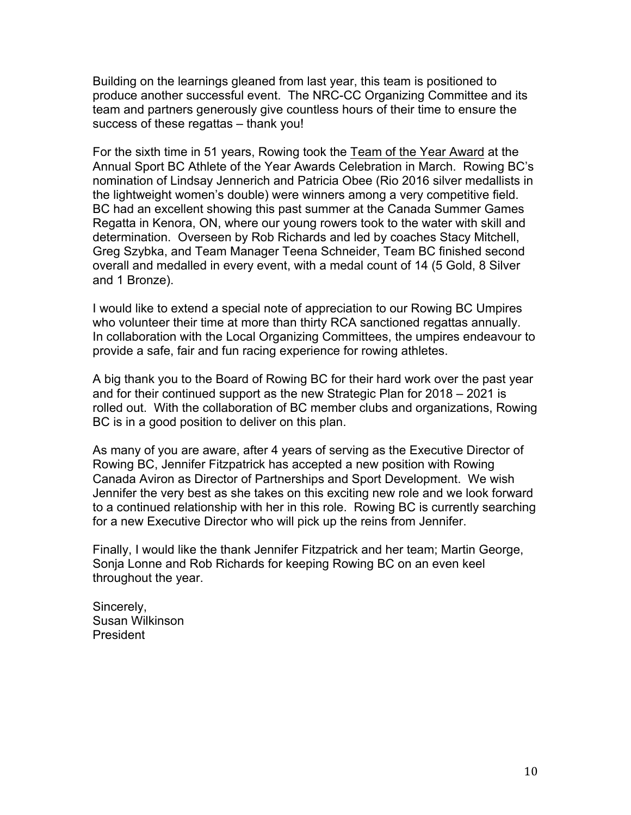Building on the learnings gleaned from last year, this team is positioned to produce another successful event. The NRC-CC Organizing Committee and its team and partners generously give countless hours of their time to ensure the success of these regattas – thank you!

For the sixth time in 51 years, Rowing took the Team of the Year Award at the Annual Sport BC Athlete of the Year Awards Celebration in March. Rowing BC's nomination of Lindsay Jennerich and Patricia Obee (Rio 2016 silver medallists in the lightweight women's double) were winners among a very competitive field. BC had an excellent showing this past summer at the Canada Summer Games Regatta in Kenora, ON, where our young rowers took to the water with skill and determination. Overseen by Rob Richards and led by coaches Stacy Mitchell, Greg Szybka, and Team Manager Teena Schneider, Team BC finished second overall and medalled in every event, with a medal count of 14 (5 Gold, 8 Silver and 1 Bronze).

I would like to extend a special note of appreciation to our Rowing BC Umpires who volunteer their time at more than thirty RCA sanctioned regattas annually. In collaboration with the Local Organizing Committees, the umpires endeavour to provide a safe, fair and fun racing experience for rowing athletes.

A big thank you to the Board of Rowing BC for their hard work over the past year and for their continued support as the new Strategic Plan for 2018 – 2021 is rolled out. With the collaboration of BC member clubs and organizations, Rowing BC is in a good position to deliver on this plan.

As many of you are aware, after 4 years of serving as the Executive Director of Rowing BC, Jennifer Fitzpatrick has accepted a new position with Rowing Canada Aviron as Director of Partnerships and Sport Development. We wish Jennifer the very best as she takes on this exciting new role and we look forward to a continued relationship with her in this role. Rowing BC is currently searching for a new Executive Director who will pick up the reins from Jennifer.

Finally, I would like the thank Jennifer Fitzpatrick and her team; Martin George, Sonja Lonne and Rob Richards for keeping Rowing BC on an even keel throughout the year.

SBDilkinon

Sincerely, Susan Wilkinson President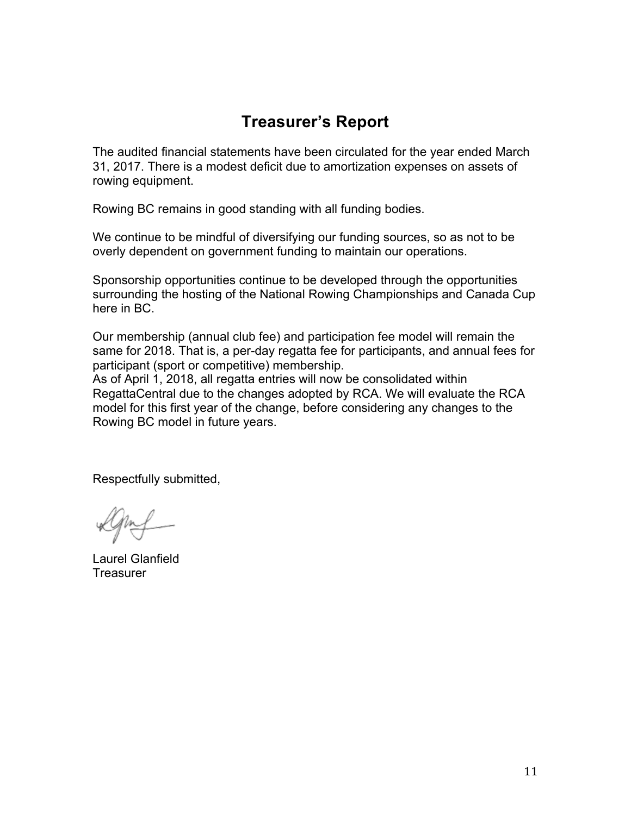# **Treasurer's Report**

The audited financial statements have been circulated for the year ended March 31, 2017. There is a modest deficit due to amortization expenses on assets of rowing equipment.

Rowing BC remains in good standing with all funding bodies.

We continue to be mindful of diversifying our funding sources, so as not to be overly dependent on government funding to maintain our operations.

Sponsorship opportunities continue to be developed through the opportunities surrounding the hosting of the National Rowing Championships and Canada Cup here in BC.

Our membership (annual club fee) and participation fee model will remain the same for 2018. That is, a per-day regatta fee for participants, and annual fees for participant (sport or competitive) membership.

As of April 1, 2018, all regatta entries will now be consolidated within RegattaCentral due to the changes adopted by RCA. We will evaluate the RCA model for this first year of the change, before considering any changes to the Rowing BC model in future years.

Respectfully submitted,

Laurel Glanfield **Treasurer**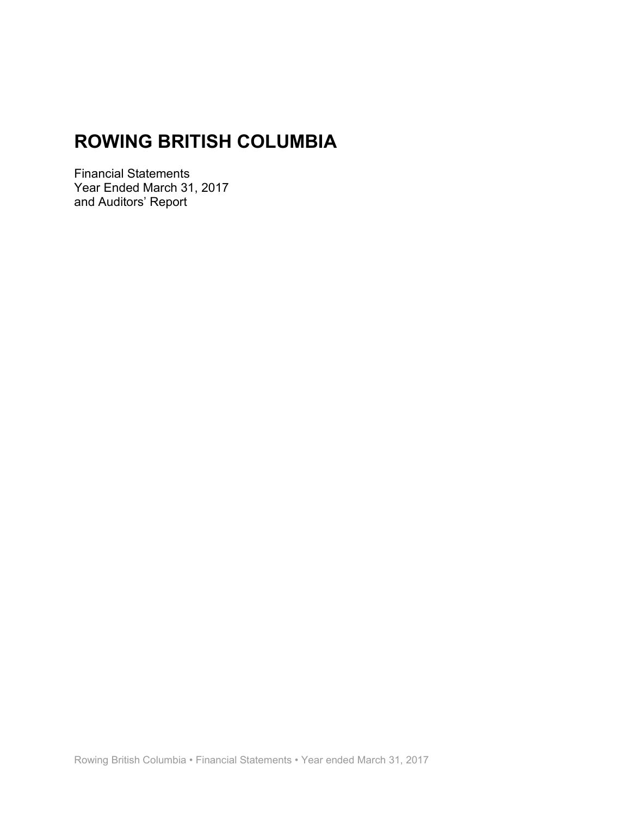Financial Statements Year Ended March 31, 2017 and Auditors' Report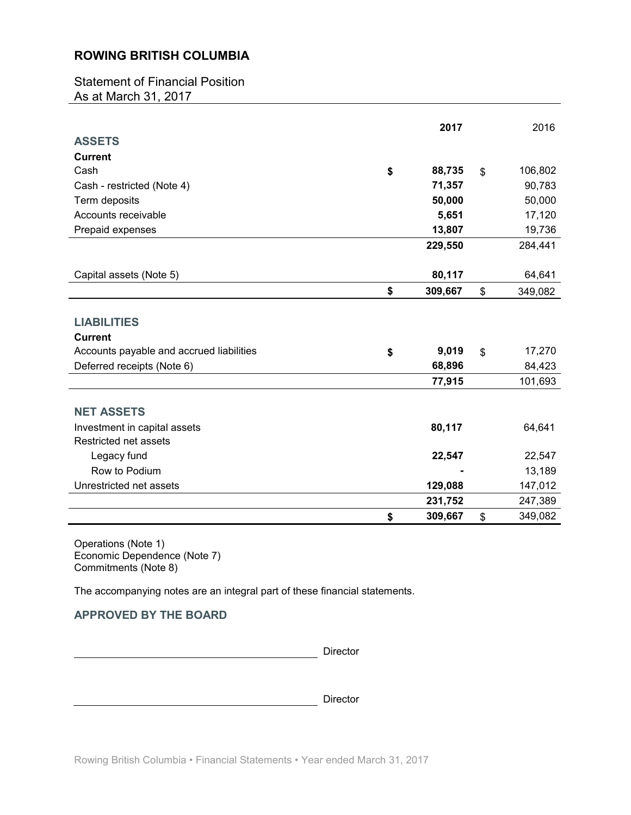Statement of Financial Position As at March 31, 2017

|                                          | 2017          |                | 2016    |
|------------------------------------------|---------------|----------------|---------|
| <b>ASSETS</b>                            |               |                |         |
| <b>Current</b>                           |               |                |         |
| Cash                                     | \$<br>88,735  | $\mathfrak{L}$ | 106,802 |
| Cash - restricted (Note 4)               | 71,357        |                | 90,783  |
| Term deposits                            | 50,000        |                | 50,000  |
| Accounts receivable                      | 5,651         |                | 17,120  |
| Prepaid expenses                         | 13,807        |                | 19,736  |
|                                          | 229,550       |                | 284,441 |
|                                          |               |                |         |
| Capital assets (Note 5)                  | 80,117        |                | 64,641  |
|                                          | \$<br>309,667 | \$             | 349,082 |
|                                          |               |                |         |
| <b>LIABILITIES</b>                       |               |                |         |
| <b>Current</b>                           |               |                |         |
| Accounts payable and accrued liabilities | \$<br>9,019   | \$             | 17,270  |
| Deferred receipts (Note 6)               | 68,896        |                | 84,423  |
|                                          | 77,915        |                | 101,693 |
|                                          |               |                |         |
| <b>NET ASSETS</b>                        |               |                |         |
| Investment in capital assets             | 80,117        |                | 64,641  |
| Restricted net assets                    |               |                |         |
| Legacy fund                              | 22,547        |                | 22,547  |
| Row to Podium                            |               |                | 13,189  |
| Unrestricted net assets                  | 129,088       |                | 147,012 |
|                                          | 231,752       |                | 247,389 |
|                                          | \$<br>309,667 | \$             | 349,082 |

Operations (Note 1) Economic Dependence (Note 7) Commitments (Note 8)

The accompanying notes are an integral part of these financial statements.

# **APPROVED BY THE BOARD**

Director SPADilkiner **Director**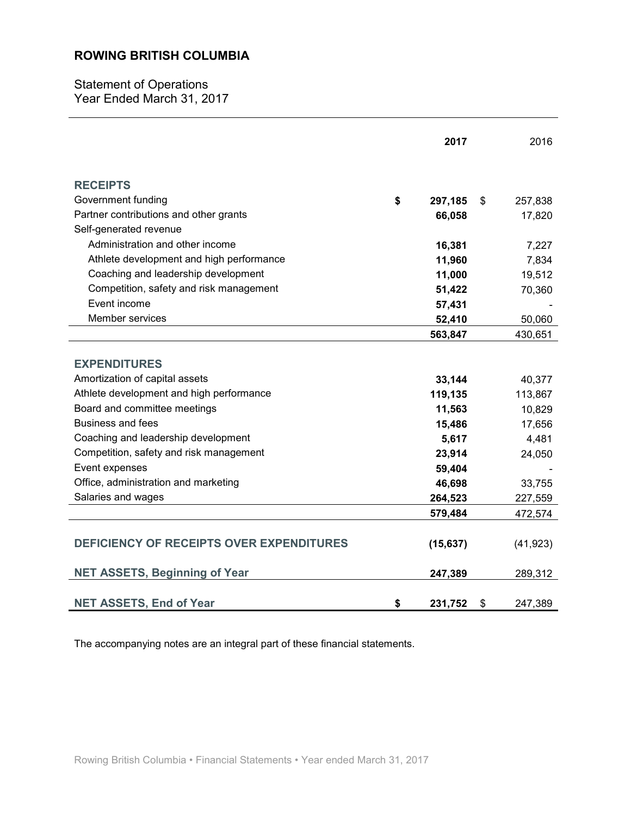Statement of Operations Year Ended March 31, 2017

|                                                 | 2017          |     | 2016      |
|-------------------------------------------------|---------------|-----|-----------|
| <b>RECEIPTS</b>                                 |               |     |           |
| Government funding                              | \$<br>297,185 | \$. | 257,838   |
| Partner contributions and other grants          | 66,058        |     | 17,820    |
| Self-generated revenue                          |               |     |           |
| Administration and other income                 | 16,381        |     | 7,227     |
| Athlete development and high performance        | 11,960        |     | 7,834     |
| Coaching and leadership development             | 11,000        |     | 19,512    |
| Competition, safety and risk management         | 51,422        |     | 70,360    |
| Event income                                    | 57,431        |     |           |
| Member services                                 | 52,410        |     | 50,060    |
|                                                 | 563,847       |     | 430,651   |
|                                                 |               |     |           |
| <b>EXPENDITURES</b>                             |               |     |           |
| Amortization of capital assets                  | 33,144        |     | 40,377    |
| Athlete development and high performance        | 119,135       |     | 113,867   |
| Board and committee meetings                    | 11,563        |     | 10,829    |
| Business and fees                               | 15,486        |     | 17,656    |
| Coaching and leadership development             | 5,617         |     | 4,481     |
| Competition, safety and risk management         | 23,914        |     | 24,050    |
| Event expenses                                  | 59,404        |     |           |
| Office, administration and marketing            | 46,698        |     | 33,755    |
| Salaries and wages                              | 264,523       |     | 227,559   |
|                                                 | 579,484       |     | 472,574   |
| <b>DEFICIENCY OF RECEIPTS OVER EXPENDITURES</b> | (15, 637)     |     | (41, 923) |
| <b>NET ASSETS, Beginning of Year</b>            | 247,389       |     | 289,312   |
| <b>NET ASSETS, End of Year</b>                  | \$<br>231,752 | \$  | 247,389   |

The accompanying notes are an integral part of these financial statements.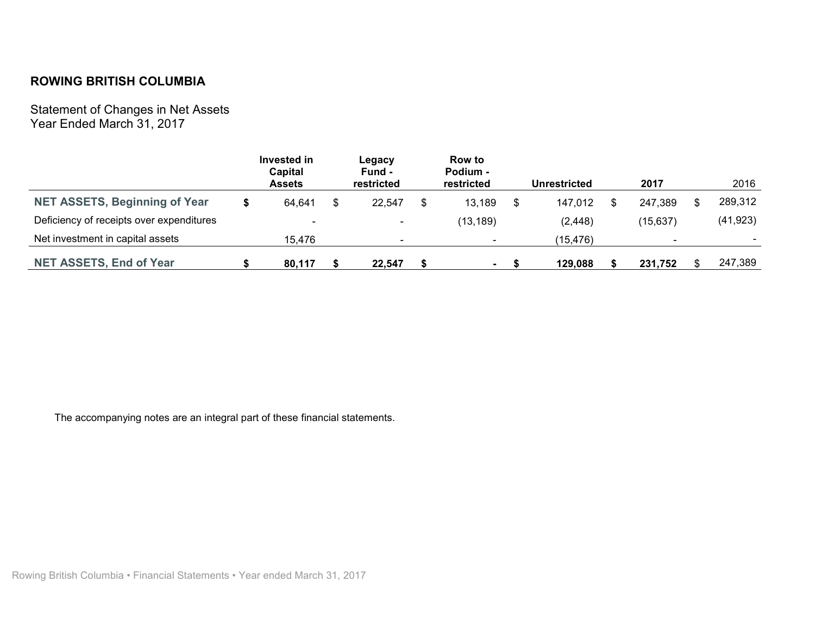Statement of Changes in Net Assets Year Ended March 31, 2017

|                                          | Invested in<br>Capital<br><b>Assets</b> | Legacy<br>Fund -<br>restricted | Row to<br>Podium -<br>restricted |   | <b>Unrestricted</b> | 2017      |   | 2016      |
|------------------------------------------|-----------------------------------------|--------------------------------|----------------------------------|---|---------------------|-----------|---|-----------|
| <b>NET ASSETS, Beginning of Year</b>     | 64,641                                  | 22.547                         | \$<br>13,189                     | S | 147,012             | 247,389   | S | 289,312   |
| Deficiency of receipts over expenditures | $\overline{\phantom{0}}$                | ٠                              | (13, 189)                        |   | (2, 448)            | (15, 637) |   | (41, 923) |
| Net investment in capital assets         | 15.476                                  |                                |                                  |   | (15, 476)           |           |   | $\sim$    |
| <b>NET ASSETS, End of Year</b>           | 80,117                                  | 22.547                         |                                  |   | 129.088             | 231,752   |   | 247,389   |

The accompanying notes are an integral part of these financial statements.

Rowing British Columbia • Financial Statements • Year ended March 31, 2017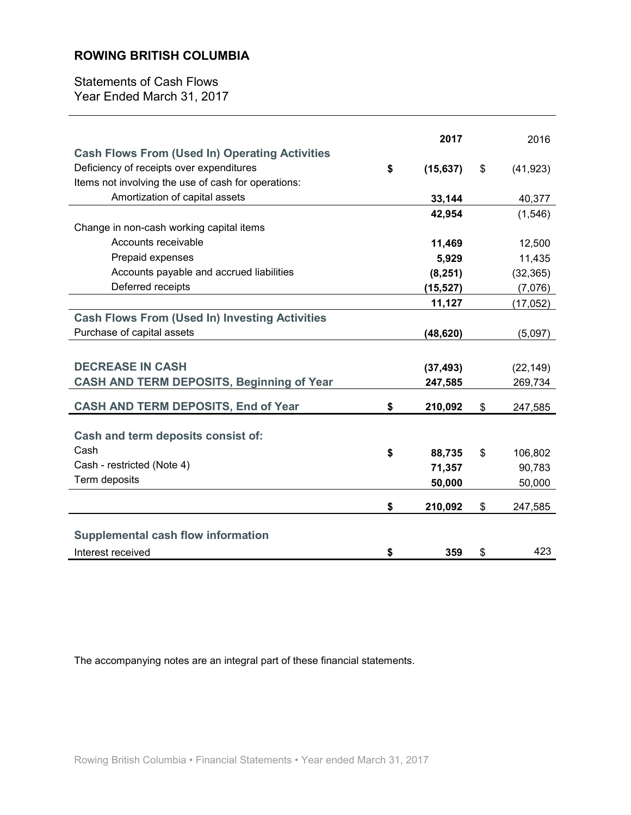Statements of Cash Flows Year Ended March 31, 2017

| <b>Cash Flows From (Used In) Operating Activities</b> | 2017            | 2016            |
|-------------------------------------------------------|-----------------|-----------------|
| Deficiency of receipts over expenditures              | \$<br>(15, 637) | \$<br>(41, 923) |
| Items not involving the use of cash for operations:   |                 |                 |
| Amortization of capital assets                        | 33,144          | 40,377          |
|                                                       | 42,954          | (1,546)         |
| Change in non-cash working capital items              |                 |                 |
| Accounts receivable                                   | 11,469          | 12,500          |
| Prepaid expenses                                      | 5,929           | 11,435          |
| Accounts payable and accrued liabilities              | (8, 251)        | (32, 365)       |
| Deferred receipts                                     | (15, 527)       | (7,076)         |
|                                                       | 11,127          | (17, 052)       |
| <b>Cash Flows From (Used In) Investing Activities</b> |                 |                 |
| Purchase of capital assets                            | (48, 620)       | (5,097)         |
|                                                       |                 |                 |
| <b>DECREASE IN CASH</b>                               | (37, 493)       | (22, 149)       |
| <b>CASH AND TERM DEPOSITS, Beginning of Year</b>      | 247,585         | 269,734         |
|                                                       |                 |                 |
| <b>CASH AND TERM DEPOSITS, End of Year</b>            | \$<br>210,092   | \$<br>247,585   |
|                                                       |                 |                 |
| Cash and term deposits consist of:                    |                 |                 |
| Cash                                                  | \$<br>88,735    | \$<br>106,802   |
| Cash - restricted (Note 4)                            | 71,357          | 90,783          |
| Term deposits                                         | 50,000          | 50,000          |
|                                                       | \$<br>210,092   | \$<br>247,585   |
|                                                       |                 |                 |
| <b>Supplemental cash flow information</b>             |                 |                 |
| Interest received                                     | \$<br>359       | \$<br>423       |

The accompanying notes are an integral part of these financial statements.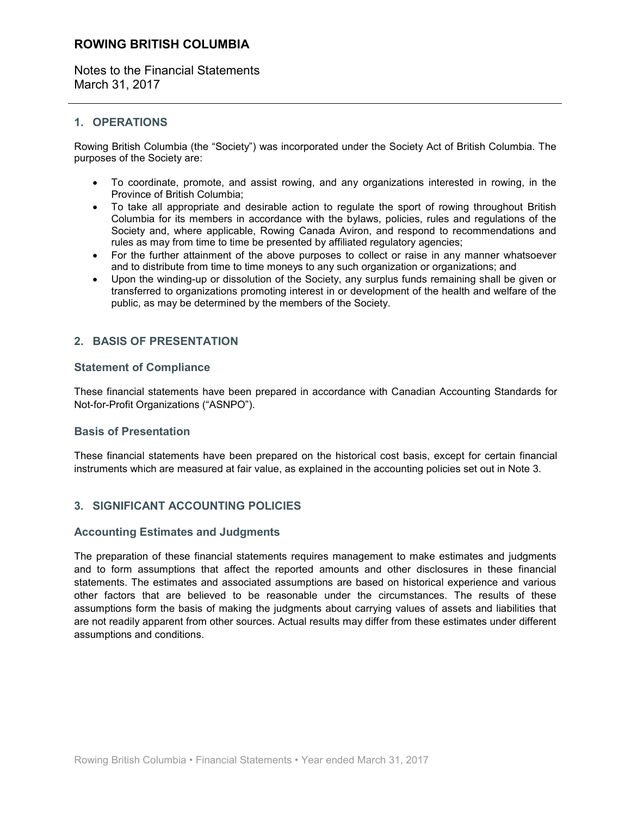Notes to the Financial Statements March 31, 2017

# **1. OPERATIONS**

Rowing British Columbia (the "Society") was incorporated under the Society Act of British Columbia. The purposes of the Society are:

- To coordinate, promote, and assist rowing, and any organizations interested in rowing, in the Province of British Columbia;
- To take all appropriate and desirable action to regulate the sport of rowing throughout British Columbia for its members in accordance with the bylaws, policies, rules and regulations of the Society and, where applicable, Rowing Canada Aviron, and respond to recommendations and rules as may from time to time be presented by affiliated regulatory agencies;
- For the further attainment of the above purposes to collect or raise in any manner whatsoever and to distribute from time to time moneys to any such organization or organizations; and
- Upon the winding-up or dissolution of the Society, any surplus funds remaining shall be given or transferred to organizations promoting interest in or development of the health and welfare of the public, as may be determined by the members of the Society.

# **2. BASIS OF PRESENTATION**

# **Statement of Compliance**

These financial statements have been prepared in accordance with Canadian Accounting Standards for Not-for-Profit Organizations ("ASNPO").

# **Basis of Presentation**

These financial statements have been prepared on the historical cost basis, except for certain financial instruments which are measured at fair value, as explained in the accounting policies set out in Note 3.

# **3. SIGNIFICANT ACCOUNTING POLICIES**

# **Accounting Estimates and Judgments**

The preparation of these financial statements requires management to make estimates and judgments and to form assumptions that affect the reported amounts and other disclosures in these financial statements. The estimates and associated assumptions are based on historical experience and various other factors that are believed to be reasonable under the circumstances. The results of these assumptions form the basis of making the judgments about carrying values of assets and liabilities that are not readily apparent from other sources. Actual results may differ from these estimates under different assumptions and conditions.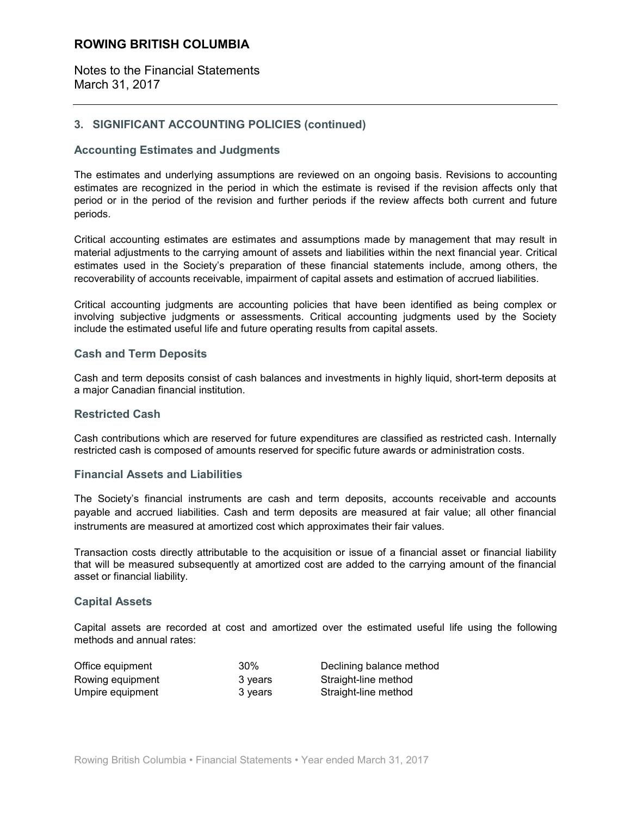Notes to the Financial Statements March 31, 2017

# **3. SIGNIFICANT ACCOUNTING POLICIES (continued)**

# **Accounting Estimates and Judgments**

The estimates and underlying assumptions are reviewed on an ongoing basis. Revisions to accounting estimates are recognized in the period in which the estimate is revised if the revision affects only that period or in the period of the revision and further periods if the review affects both current and future periods.

Critical accounting estimates are estimates and assumptions made by management that may result in material adjustments to the carrying amount of assets and liabilities within the next financial year. Critical estimates used in the Society's preparation of these financial statements include, among others, the recoverability of accounts receivable, impairment of capital assets and estimation of accrued liabilities.

Critical accounting judgments are accounting policies that have been identified as being complex or involving subjective judgments or assessments. Critical accounting judgments used by the Society include the estimated useful life and future operating results from capital assets.

### **Cash and Term Deposits**

Cash and term deposits consist of cash balances and investments in highly liquid, short-term deposits at a major Canadian financial institution.

#### **Restricted Cash**

Cash contributions which are reserved for future expenditures are classified as restricted cash. Internally restricted cash is composed of amounts reserved for specific future awards or administration costs.

#### **Financial Assets and Liabilities**

The Society's financial instruments are cash and term deposits, accounts receivable and accounts payable and accrued liabilities. Cash and term deposits are measured at fair value; all other financial instruments are measured at amortized cost which approximates their fair values.

Transaction costs directly attributable to the acquisition or issue of a financial asset or financial liability that will be measured subsequently at amortized cost are added to the carrying amount of the financial asset or financial liability.

#### **Capital Assets**

Capital assets are recorded at cost and amortized over the estimated useful life using the following methods and annual rates:

| Office equipment | 30%     | Declining balance method |
|------------------|---------|--------------------------|
| Rowing equipment | 3 years | Straight-line method     |
| Umpire equipment | 3 years | Straight-line method     |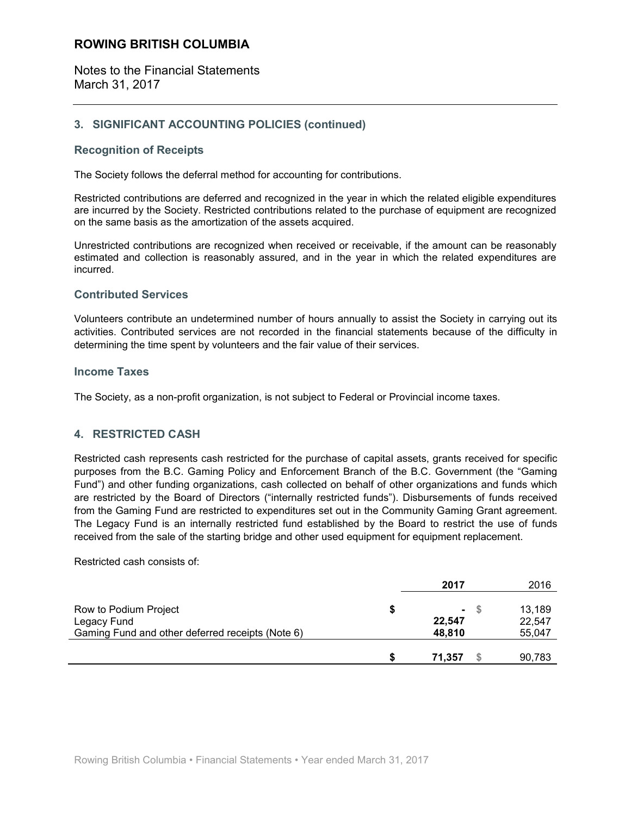Notes to the Financial Statements March 31, 2017

# **3. SIGNIFICANT ACCOUNTING POLICIES (continued)**

# **Recognition of Receipts**

The Society follows the deferral method for accounting for contributions.

Restricted contributions are deferred and recognized in the year in which the related eligible expenditures are incurred by the Society. Restricted contributions related to the purchase of equipment are recognized on the same basis as the amortization of the assets acquired.

Unrestricted contributions are recognized when received or receivable, if the amount can be reasonably estimated and collection is reasonably assured, and in the year in which the related expenditures are incurred.

# **Contributed Services**

Volunteers contribute an undetermined number of hours annually to assist the Society in carrying out its activities. Contributed services are not recorded in the financial statements because of the difficulty in determining the time spent by volunteers and the fair value of their services.

#### **Income Taxes**

The Society, as a non-profit organization, is not subject to Federal or Provincial income taxes.

# **4. RESTRICTED CASH**

Restricted cash represents cash restricted for the purchase of capital assets, grants received for specific purposes from the B.C. Gaming Policy and Enforcement Branch of the B.C. Government (the "Gaming Fund") and other funding organizations, cash collected on behalf of other organizations and funds which are restricted by the Board of Directors ("internally restricted funds"). Disbursements of funds received from the Gaming Fund are restricted to expenditures set out in the Community Gaming Grant agreement. The Legacy Fund is an internally restricted fund established by the Board to restrict the use of funds received from the sale of the starting bridge and other used equipment for equipment replacement.

Restricted cash consists of:

|                                                                                          | 2017                       | 2016                       |
|------------------------------------------------------------------------------------------|----------------------------|----------------------------|
| Row to Podium Project<br>Legacy Fund<br>Gaming Fund and other deferred receipts (Note 6) | $\sim$<br>22,547<br>48.810 | 13,189<br>22.547<br>55,047 |
|                                                                                          | 71.357                     | 90,783                     |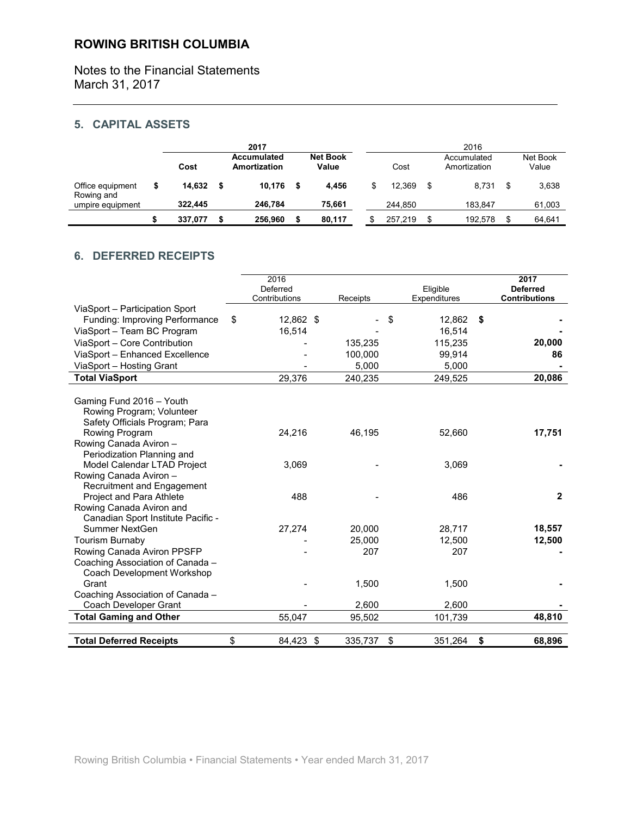Notes to the Financial Statements March 31, 2017

# **5. CAPITAL ASSETS**

|                                |         | 2017                        |                          |              | 2016                        |                   |
|--------------------------------|---------|-----------------------------|--------------------------|--------------|-----------------------------|-------------------|
|                                | Cost    | Accumulated<br>Amortization | <b>Net Book</b><br>Value | Cost         | Accumulated<br>Amortization | Net Book<br>Value |
| Office equipment<br>Rowing and | 14,632  | 10.176                      | 4.456                    | \$<br>12.369 | \$<br>8.731                 | \$<br>3,638       |
| umpire equipment               | 322,445 | 246.784                     | 75,661                   | 244.850      | 183.847                     | 61,003            |
|                                | 337,077 | 256.960                     | 80,117                   | 257.219      | \$<br>192.578               | \$<br>64,641      |

# **6. DEFERRED RECEIPTS**

|                                          | 2016<br>Deferred<br>Contributions | Receipts | Eligible<br>Expenditures | 2017<br><b>Deferred</b><br><b>Contributions</b> |
|------------------------------------------|-----------------------------------|----------|--------------------------|-------------------------------------------------|
| ViaSport - Participation Sport           |                                   |          |                          |                                                 |
| Funding: Improving Performance           | \$<br>12,862 \$                   |          | 12,862<br>\$             | \$                                              |
| ViaSport - Team BC Program               | 16,514                            |          | 16,514                   |                                                 |
| ViaSport - Core Contribution             |                                   | 135,235  | 115,235                  | 20,000                                          |
| ViaSport - Enhanced Excellence           |                                   | 100,000  | 99,914                   | 86                                              |
| ViaSport - Hosting Grant                 |                                   | 5,000    | 5,000                    |                                                 |
| <b>Total ViaSport</b>                    | 29,376                            | 240,235  | 249,525                  | 20,086                                          |
|                                          |                                   |          |                          |                                                 |
| Gaming Fund 2016 - Youth                 |                                   |          |                          |                                                 |
| Rowing Program; Volunteer                |                                   |          |                          |                                                 |
| Safety Officials Program; Para           |                                   |          |                          |                                                 |
| Rowing Program<br>Rowing Canada Aviron - | 24,216                            | 46,195   | 52,660                   | 17,751                                          |
| Periodization Planning and               |                                   |          |                          |                                                 |
| Model Calendar LTAD Project              | 3,069                             |          | 3,069                    |                                                 |
| Rowing Canada Aviron -                   |                                   |          |                          |                                                 |
| Recruitment and Engagement               |                                   |          |                          |                                                 |
| <b>Project and Para Athlete</b>          | 488                               |          | 486                      | $\overline{2}$                                  |
| Rowing Canada Aviron and                 |                                   |          |                          |                                                 |
| Canadian Sport Institute Pacific -       |                                   |          |                          |                                                 |
| Summer NextGen                           | 27,274                            | 20,000   | 28,717                   | 18,557                                          |
| <b>Tourism Burnaby</b>                   |                                   | 25,000   | 12,500                   | 12,500                                          |
| Rowing Canada Aviron PPSFP               |                                   | 207      | 207                      |                                                 |
| Coaching Association of Canada -         |                                   |          |                          |                                                 |
| Coach Development Workshop               |                                   |          |                          |                                                 |
| Grant                                    |                                   | 1,500    | 1,500                    |                                                 |
| Coaching Association of Canada -         |                                   |          |                          |                                                 |
| Coach Developer Grant                    |                                   | 2,600    | 2,600                    |                                                 |
| <b>Total Gaming and Other</b>            | 55,047                            | 95,502   | 101,739                  | 48,810                                          |
| <b>Total Deferred Receipts</b>           | \$<br>84,423 \$                   | 335,737  | \$<br>351,264            | \$<br>68,896                                    |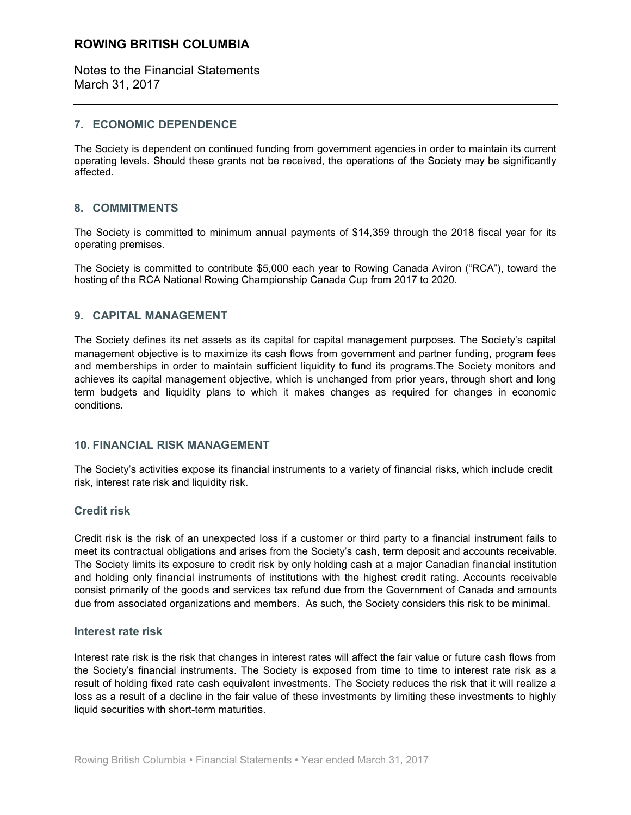Notes to the Financial Statements March 31, 2017

# **7. ECONOMIC DEPENDENCE**

The Society is dependent on continued funding from government agencies in order to maintain its current operating levels. Should these grants not be received, the operations of the Society may be significantly affected.

# **8. COMMITMENTS**

The Society is committed to minimum annual payments of \$14,359 through the 2018 fiscal year for its operating premises.

The Society is committed to contribute \$5,000 each year to Rowing Canada Aviron ("RCA"), toward the hosting of the RCA National Rowing Championship Canada Cup from 2017 to 2020.

# **9. CAPITAL MANAGEMENT**

The Society defines its net assets as its capital for capital management purposes. The Society's capital management objective is to maximize its cash flows from government and partner funding, program fees and memberships in order to maintain sufficient liquidity to fund its programs.The Society monitors and achieves its capital management objective, which is unchanged from prior years, through short and long term budgets and liquidity plans to which it makes changes as required for changes in economic conditions.

# **10. FINANCIAL RISK MANAGEMENT**

The Society's activities expose its financial instruments to a variety of financial risks, which include credit risk, interest rate risk and liquidity risk.

#### **Credit risk**

Credit risk is the risk of an unexpected loss if a customer or third party to a financial instrument fails to meet its contractual obligations and arises from the Society's cash, term deposit and accounts receivable. The Society limits its exposure to credit risk by only holding cash at a major Canadian financial institution and holding only financial instruments of institutions with the highest credit rating. Accounts receivable consist primarily of the goods and services tax refund due from the Government of Canada and amounts due from associated organizations and members. As such, the Society considers this risk to be minimal.

#### **Interest rate risk**

Interest rate risk is the risk that changes in interest rates will affect the fair value or future cash flows from the Society's financial instruments. The Society is exposed from time to time to interest rate risk as a result of holding fixed rate cash equivalent investments. The Society reduces the risk that it will realize a loss as a result of a decline in the fair value of these investments by limiting these investments to highly liquid securities with short-term maturities.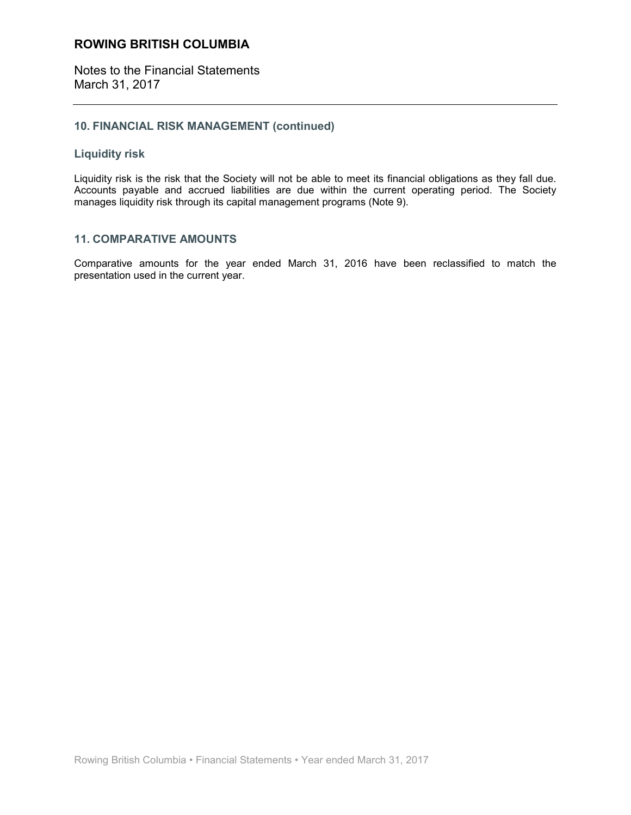Notes to the Financial Statements March 31, 2017

# **10. FINANCIAL RISK MANAGEMENT (continued)**

# **Liquidity risk**

Liquidity risk is the risk that the Society will not be able to meet its financial obligations as they fall due. Accounts payable and accrued liabilities are due within the current operating period. The Society manages liquidity risk through its capital management programs (Note 9).

# **11. COMPARATIVE AMOUNTS**

Comparative amounts for the year ended March 31, 2016 have been reclassified to match the presentation used in the current year.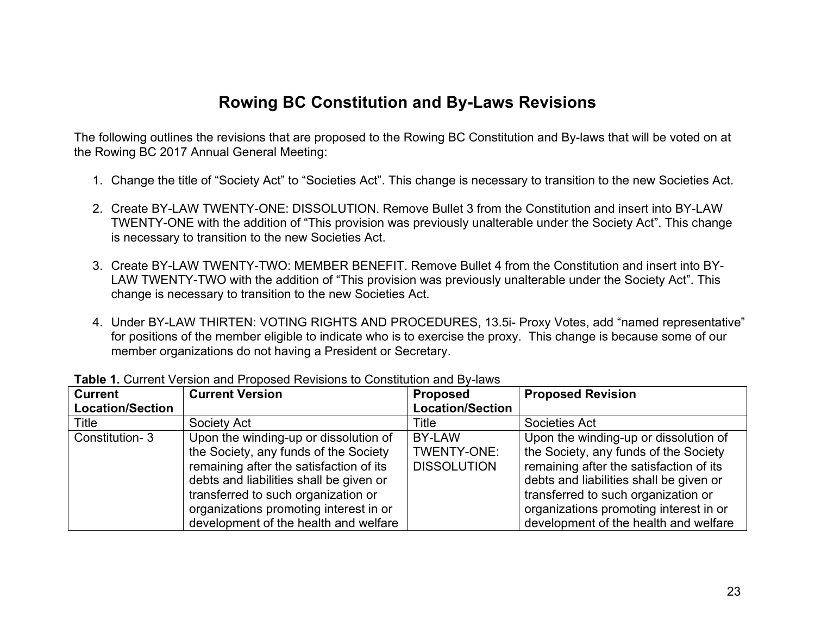# **Rowing BC Constitution and By-Laws Revisions**

The following outlines the revisions that are proposed to the Rowing BC Constitution and By-laws that will be voted on at the Rowing BC 2017 Annual General Meeting:

- 1. Change the title of "Society Act" to "Societies Act". This change is necessary to transition to the new Societies Act.
- 2. Create BY-LAW TWENTY-ONE: DISSOLUTION. Remove Bullet 3 from the Constitution and insert into BY-LAW TWENTY-ONE with the addition of "This provision was previously unalterable under the Society Act". This change is necessary to transition to the new Societies Act.
- 3. Create BY-LAW TWENTY-TWO: MEMBER BENEFIT. Remove Bullet 4 from the Constitution and insert into BY-LAW TWENTY-TWO with the addition of "This provision was previously unalterable under the Society Act". This change is necessary to transition to the new Societies Act.
- 4. Under BY-LAW THIRTEN: VOTING RIGHTS AND PROCEDURES, 13.5i- Proxy Votes, add "named representative" for positions of the member eligible to indicate who is to exercise the proxy. This change is because some of our member organizations do not having a President or Secretary.

| <b>Current</b><br><b>Location/Section</b> | <b>Current Version</b>                                                                                                                                                                                                                                                                         | <b>Proposed</b><br><b>Location/Section</b>  | <b>Proposed Revision</b>                                                                                                                                                                                                                                                                       |
|-------------------------------------------|------------------------------------------------------------------------------------------------------------------------------------------------------------------------------------------------------------------------------------------------------------------------------------------------|---------------------------------------------|------------------------------------------------------------------------------------------------------------------------------------------------------------------------------------------------------------------------------------------------------------------------------------------------|
| Title                                     | Society Act                                                                                                                                                                                                                                                                                    | Title                                       | Societies Act                                                                                                                                                                                                                                                                                  |
| Constitution-3                            | Upon the winding-up or dissolution of<br>the Society, any funds of the Society<br>remaining after the satisfaction of its<br>debts and liabilities shall be given or<br>transferred to such organization or<br>organizations promoting interest in or<br>development of the health and welfare | BY-LAW<br>TWENTY-ONE:<br><b>DISSOLUTION</b> | Upon the winding-up or dissolution of<br>the Society, any funds of the Society<br>remaining after the satisfaction of its<br>debts and liabilities shall be given or<br>transferred to such organization or<br>organizations promoting interest in or<br>development of the health and welfare |

**Table 1.** Current Version and Proposed Revisions to Constitution and By-laws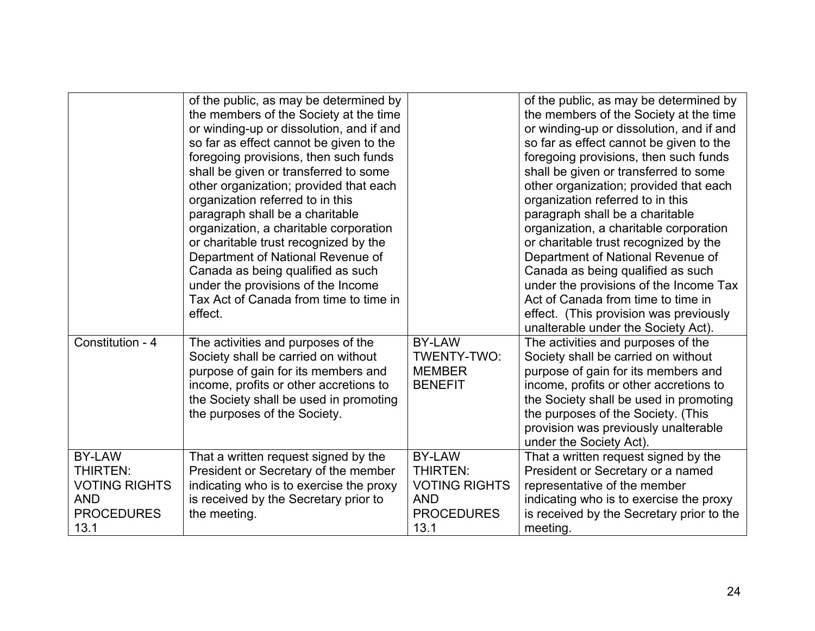|                                                                                                     | of the public, as may be determined by<br>the members of the Society at the time<br>or winding-up or dissolution, and if and<br>so far as effect cannot be given to the<br>foregoing provisions, then such funds<br>shall be given or transferred to some<br>other organization; provided that each<br>organization referred to in this<br>paragraph shall be a charitable<br>organization, a charitable corporation<br>or charitable trust recognized by the<br>Department of National Revenue of<br>Canada as being qualified as such<br>under the provisions of the Income<br>Tax Act of Canada from time to time in<br>effect. |                                                                                              | of the public, as may be determined by<br>the members of the Society at the time<br>or winding-up or dissolution, and if and<br>so far as effect cannot be given to the<br>foregoing provisions, then such funds<br>shall be given or transferred to some<br>other organization; provided that each<br>organization referred to in this<br>paragraph shall be a charitable<br>organization, a charitable corporation<br>or charitable trust recognized by the<br>Department of National Revenue of<br>Canada as being qualified as such<br>under the provisions of the Income Tax<br>Act of Canada from time to time in<br>effect. (This provision was previously<br>unalterable under the Society Act). |
|-----------------------------------------------------------------------------------------------------|------------------------------------------------------------------------------------------------------------------------------------------------------------------------------------------------------------------------------------------------------------------------------------------------------------------------------------------------------------------------------------------------------------------------------------------------------------------------------------------------------------------------------------------------------------------------------------------------------------------------------------|----------------------------------------------------------------------------------------------|----------------------------------------------------------------------------------------------------------------------------------------------------------------------------------------------------------------------------------------------------------------------------------------------------------------------------------------------------------------------------------------------------------------------------------------------------------------------------------------------------------------------------------------------------------------------------------------------------------------------------------------------------------------------------------------------------------|
| Constitution - 4                                                                                    | The activities and purposes of the<br>Society shall be carried on without<br>purpose of gain for its members and<br>income, profits or other accretions to<br>the Society shall be used in promoting<br>the purposes of the Society.                                                                                                                                                                                                                                                                                                                                                                                               | <b>BY-LAW</b><br>TWENTY-TWO:<br><b>MEMBER</b><br><b>BENEFIT</b>                              | The activities and purposes of the<br>Society shall be carried on without<br>purpose of gain for its members and<br>income, profits or other accretions to<br>the Society shall be used in promoting<br>the purposes of the Society. (This<br>provision was previously unalterable<br>under the Society Act).                                                                                                                                                                                                                                                                                                                                                                                            |
| <b>BY-LAW</b><br><b>THIRTEN:</b><br><b>VOTING RIGHTS</b><br><b>AND</b><br><b>PROCEDURES</b><br>13.1 | That a written request signed by the<br>President or Secretary of the member<br>indicating who is to exercise the proxy<br>is received by the Secretary prior to<br>the meeting.                                                                                                                                                                                                                                                                                                                                                                                                                                                   | BY-LAW<br><b>THIRTEN:</b><br><b>VOTING RIGHTS</b><br><b>AND</b><br><b>PROCEDURES</b><br>13.1 | That a written request signed by the<br>President or Secretary or a named<br>representative of the member<br>indicating who is to exercise the proxy<br>is received by the Secretary prior to the<br>meeting.                                                                                                                                                                                                                                                                                                                                                                                                                                                                                            |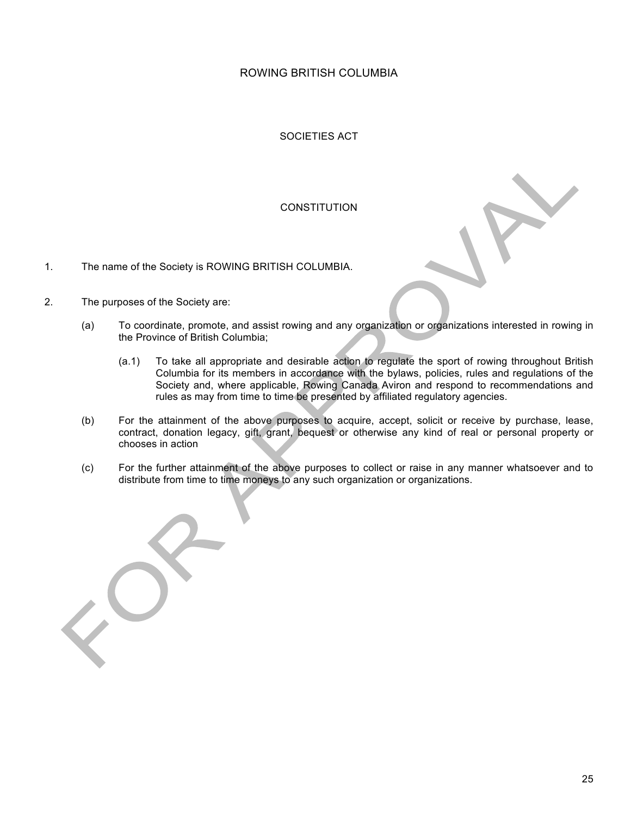SOCIETIES ACT

# **CONSTITUTION**

- 1. The name of the Society is ROWING BRITISH COLUMBIA.
- 2. The purposes of the Society are:
	- (a) To coordinate, promote, and assist rowing and any organization or organizations interested in rowing in the Province of British Columbia;
		- (a.1) To take all appropriate and desirable action to regulate the sport of rowing throughout British Columbia for its members in accordance with the bylaws, policies, rules and regulations of the Society and, where applicable, Rowing Canada Aviron and respond to recommendations and rules as may from time to time be presented by affiliated regulatory agencies.
	- (b) For the attainment of the above purposes to acquire, accept, solicit or receive by purchase, lease, contract, donation legacy, gift, grant, bequest or otherwise any kind of real or personal property or chooses in action
	- (c) For the further attainment of the above purposes to collect or raise in any manner whatsoever and to distribute from time to time moneys to any such organization or organizations.

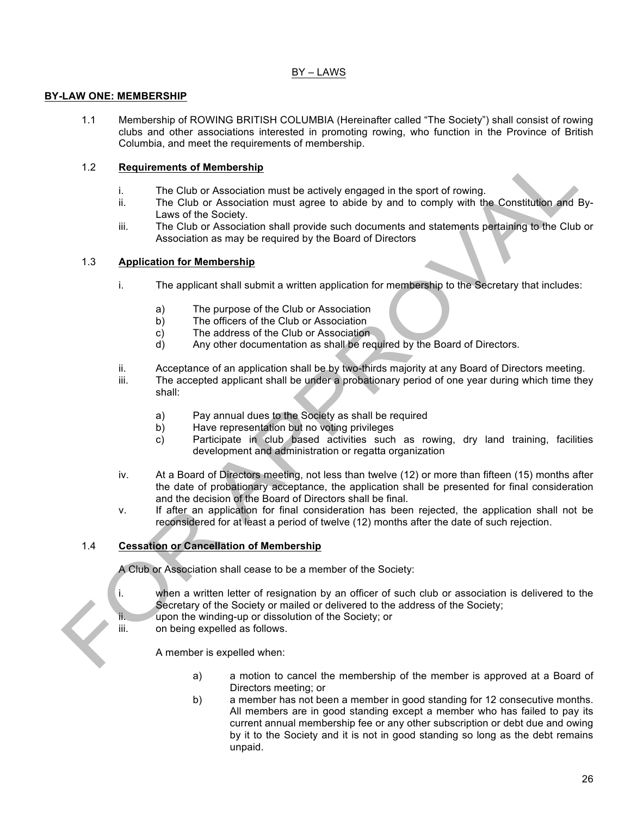# BY – LAWS

# **BY-LAW ONE: MEMBERSHIP**

1.1 Membership of ROWING BRITISH COLUMBIA (Hereinafter called "The Society") shall consist of rowing clubs and other associations interested in promoting rowing, who function in the Province of British Columbia, and meet the requirements of membership.

### 1.2 **Requirements of Membership**

- i. The Club or Association must be actively engaged in the sport of rowing.
- ii. The Club or Association must agree to abide by and to comply with the Constitution and By-Laws of the Society.
- iii. The Club or Association shall provide such documents and statements pertaining to the Club or Association as may be required by the Board of Directors

### 1.3 **Application for Membership**

- i. The applicant shall submit a written application for membership to the Secretary that includes:
	- a) The purpose of the Club or Association
	- b) The officers of the Club or Association
	- c) The address of the Club or Association
	- d) Any other documentation as shall be required by the Board of Directors.
- ii. Acceptance of an application shall be by two-thirds majority at any Board of Directors meeting.
- iii. The accepted applicant shall be under a probationary period of one year during which time they shall:
	- a) Pay annual dues to the Society as shall be required
	- b) Have representation but no voting privileges
	- c) Participate in club based activities such as rowing, dry land training, facilities development and administration or regatta organization
- iv. At a Board of Directors meeting, not less than twelve (12) or more than fifteen (15) months after the date of probationary acceptance, the application shall be presented for final consideration and the decision of the Board of Directors shall be final.
- v. If after an application for final consideration has been rejected, the application shall not be reconsidered for at least a period of twelve (12) months after the date of such rejection.

# 1.4 **Cessation or Cancellation of Membership**

A Club or Association shall cease to be a member of the Society:

- i. when a written letter of resignation by an officer of such club or association is delivered to the Secretary of the Society or mailed or delivered to the address of the Society;
- ii. upon the winding-up or dissolution of the Society; or
- iii. on being expelled as follows.

A member is expelled when:

- a) a motion to cancel the membership of the member is approved at a Board of Directors meeting; or
- b) a member has not been a member in good standing for 12 consecutive months. All members are in good standing except a member who has failed to pay its current annual membership fee or any other subscription or debt due and owing by it to the Society and it is not in good standing so long as the debt remains unpaid.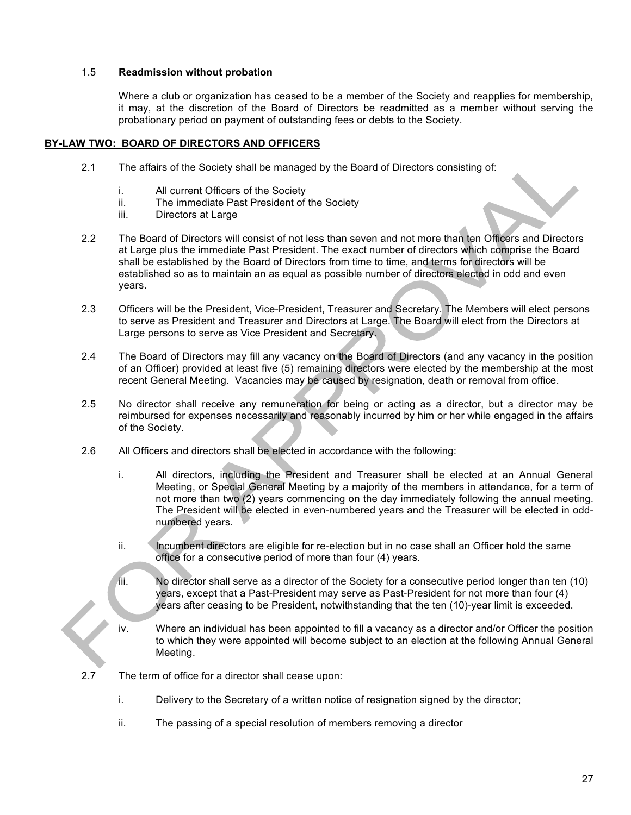### 1.5 **Readmission without probation**

Where a club or organization has ceased to be a member of the Society and reapplies for membership, it may, at the discretion of the Board of Directors be readmitted as a member without serving the probationary period on payment of outstanding fees or debts to the Society.

#### **BY-LAW TWO: BOARD OF DIRECTORS AND OFFICERS**

- 2.1 The affairs of the Society shall be managed by the Board of Directors consisting of:
	- i. All current Officers of the Society
	- ii. The immediate Past President of the Society
	- iii. Directors at Large
- 2.2 The Board of Directors will consist of not less than seven and not more than ten Officers and Directors at Large plus the immediate Past President. The exact number of directors which comprise the Board shall be established by the Board of Directors from time to time, and terms for directors will be established so as to maintain an as equal as possible number of directors elected in odd and even years.
- 2.3 Officers will be the President, Vice-President, Treasurer and Secretary. The Members will elect persons to serve as President and Treasurer and Directors at Large. The Board will elect from the Directors at Large persons to serve as Vice President and Secretary.
- 2.4 The Board of Directors may fill any vacancy on the Board of Directors (and any vacancy in the position of an Officer) provided at least five (5) remaining directors were elected by the membership at the most recent General Meeting. Vacancies may be caused by resignation, death or removal from office.
- 2.5 No director shall receive any remuneration for being or acting as a director, but a director may be reimbursed for expenses necessarily and reasonably incurred by him or her while engaged in the affairs of the Society.
- 2.6 All Officers and directors shall be elected in accordance with the following:
	- i. All directors, including the President and Treasurer shall be elected at an Annual General Meeting, or Special General Meeting by a majority of the members in attendance, for a term of not more than two (2) years commencing on the day immediately following the annual meeting. The President will be elected in even-numbered years and the Treasurer will be elected in oddnumbered years.
	- ii. Incumbent directors are eligible for re-election but in no case shall an Officer hold the same office for a consecutive period of more than four (4) years.
	- iii. No director shall serve as a director of the Society for a consecutive period longer than ten (10) years, except that a Past-President may serve as Past-President for not more than four (4) years after ceasing to be President, notwithstanding that the ten (10)-year limit is exceeded.
	- iv. Where an individual has been appointed to fill a vacancy as a director and/or Officer the position to which they were appointed will become subject to an election at the following Annual General Meeting.
- 2.7 The term of office for a director shall cease upon:
	- i. Delivery to the Secretary of a written notice of resignation signed by the director;
	- ii. The passing of a special resolution of members removing a director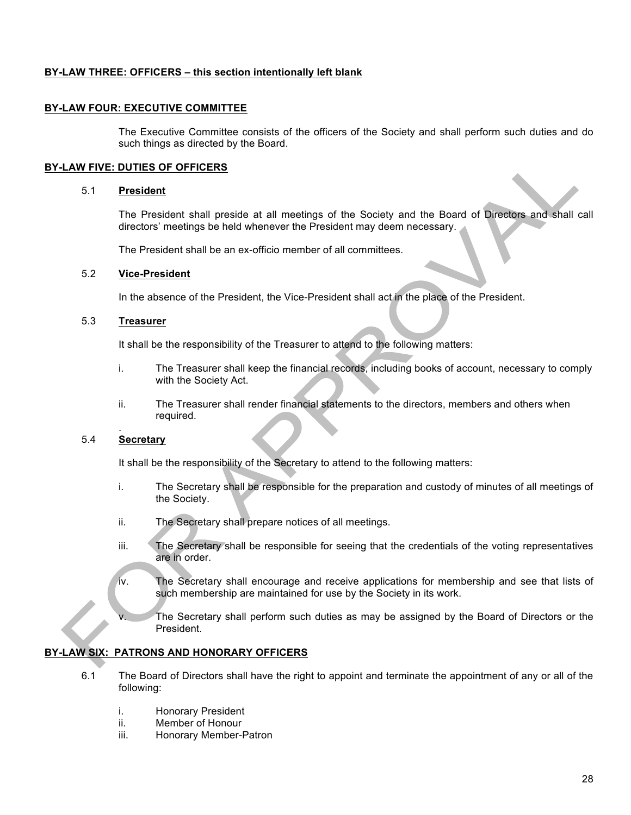### **BY-LAW THREE: OFFICERS – this section intentionally left blank**

#### **BY-LAW FOUR: EXECUTIVE COMMITTEE**

The Executive Committee consists of the officers of the Society and shall perform such duties and do such things as directed by the Board.

#### **BY-LAW FIVE: DUTIES OF OFFICERS**

#### 5.1 **President**

The President shall preside at all meetings of the Society and the Board of Directors and shall call directors' meetings be held whenever the President may deem necessary.

The President shall be an ex-officio member of all committees.

#### 5.2 **Vice-President**

In the absence of the President, the Vice-President shall act in the place of the President.

#### 5.3 **Treasurer**

It shall be the responsibility of the Treasurer to attend to the following matters:

- i. The Treasurer shall keep the financial records, including books of account, necessary to comply with the Society Act.
- ii. The Treasurer shall render financial statements to the directors, members and others when required.

#### . 5.4 **Secretary**

It shall be the responsibility of the Secretary to attend to the following matters:

- i. The Secretary shall be responsible for the preparation and custody of minutes of all meetings of the Society.
- ii. The Secretary shall prepare notices of all meetings.
- iii. The Secretary shall be responsible for seeing that the credentials of the voting representatives are in order.
- iv. The Secretary shall encourage and receive applications for membership and see that lists of such membership are maintained for use by the Society in its work.
	- The Secretary shall perform such duties as may be assigned by the Board of Directors or the President.

#### **BY-LAW SIX: PATRONS AND HONORARY OFFICERS**

- 6.1 The Board of Directors shall have the right to appoint and terminate the appointment of any or all of the following:
	- i. Honorary President
	- ii. Member of Honour
	- iii. Honorary Member-Patron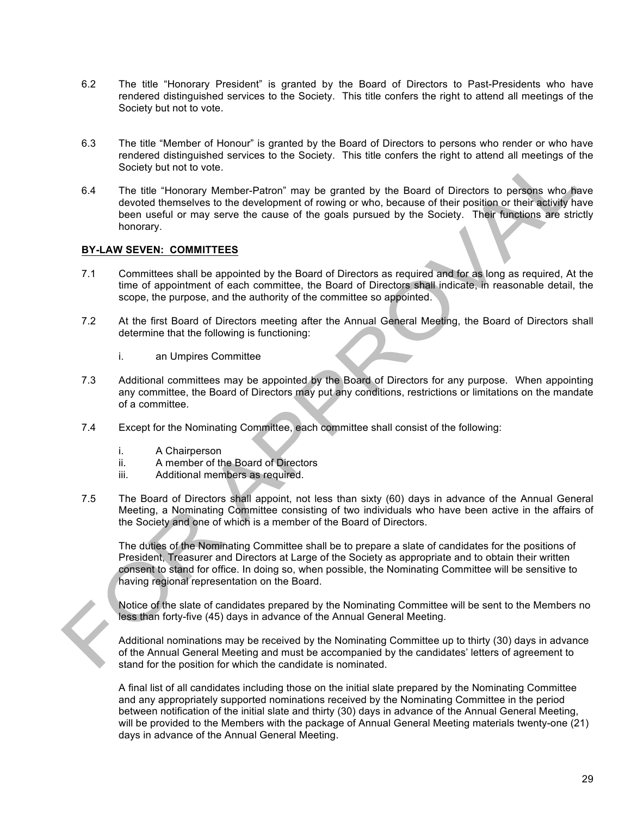- 6.2 The title "Honorary President" is granted by the Board of Directors to Past-Presidents who have rendered distinguished services to the Society. This title confers the right to attend all meetings of the Society but not to vote.
- 6.3 The title "Member of Honour" is granted by the Board of Directors to persons who render or who have rendered distinguished services to the Society. This title confers the right to attend all meetings of the Society but not to vote.
- 6.4 The title "Honorary Member-Patron" may be granted by the Board of Directors to persons who have devoted themselves to the development of rowing or who, because of their position or their activity have been useful or may serve the cause of the goals pursued by the Society. Their functions are strictly honorary.

### **BY-LAW SEVEN: COMMITTEES**

- 7.1 Committees shall be appointed by the Board of Directors as required and for as long as required, At the time of appointment of each committee, the Board of Directors shall indicate, in reasonable detail, the scope, the purpose, and the authority of the committee so appointed.
- 7.2 At the first Board of Directors meeting after the Annual General Meeting, the Board of Directors shall determine that the following is functioning:
	- i. an Umpires Committee
- 7.3 Additional committees may be appointed by the Board of Directors for any purpose. When appointing any committee, the Board of Directors may put any conditions, restrictions or limitations on the mandate of a committee.
- 7.4 Except for the Nominating Committee, each committee shall consist of the following:
	- i. A Chairperson
	- ii. A member of the Board of Directors
	- iii. Additional members as required.
- 7.5 The Board of Directors shall appoint, not less than sixty (60) days in advance of the Annual General Meeting, a Nominating Committee consisting of two individuals who have been active in the affairs of the Society and one of which is a member of the Board of Directors.

The duties of the Nominating Committee shall be to prepare a slate of candidates for the positions of President, Treasurer and Directors at Large of the Society as appropriate and to obtain their written consent to stand for office. In doing so, when possible, the Nominating Committee will be sensitive to having regional representation on the Board.

Notice of the slate of candidates prepared by the Nominating Committee will be sent to the Members no less than forty-five (45) days in advance of the Annual General Meeting.

Additional nominations may be received by the Nominating Committee up to thirty (30) days in advance of the Annual General Meeting and must be accompanied by the candidates' letters of agreement to stand for the position for which the candidate is nominated.

A final list of all candidates including those on the initial slate prepared by the Nominating Committee and any appropriately supported nominations received by the Nominating Committee in the period between notification of the initial slate and thirty (30) days in advance of the Annual General Meeting, will be provided to the Members with the package of Annual General Meeting materials twenty-one (21) days in advance of the Annual General Meeting.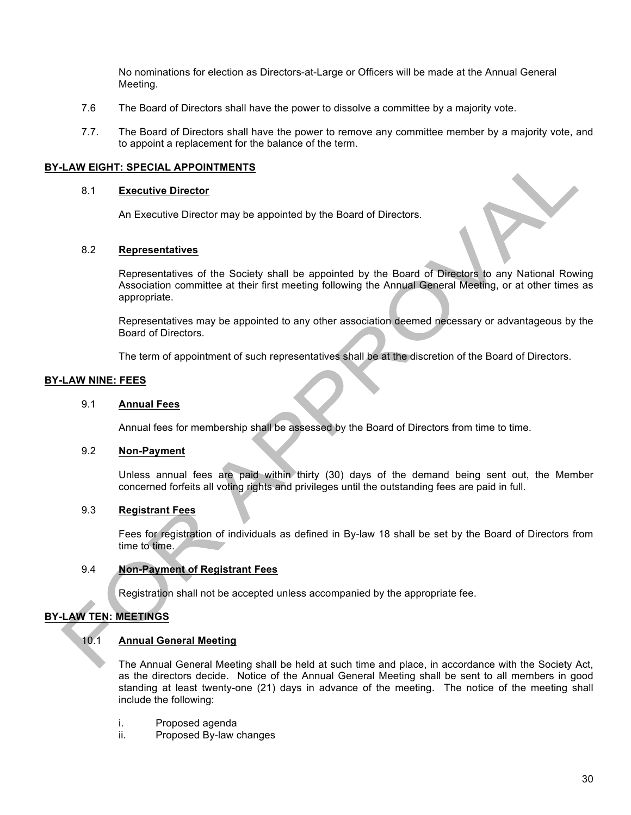No nominations for election as Directors-at-Large or Officers will be made at the Annual General Meeting.

- 7.6 The Board of Directors shall have the power to dissolve a committee by a majority vote.
- 7.7. The Board of Directors shall have the power to remove any committee member by a majority vote, and to appoint a replacement for the balance of the term.

#### **BY-LAW EIGHT: SPECIAL APPOINTMENTS**

#### 8.1 **Executive Director**

An Executive Director may be appointed by the Board of Directors.

#### 8.2 **Representatives**

Representatives of the Society shall be appointed by the Board of Directors to any National Rowing Association committee at their first meeting following the Annual General Meeting, or at other times as appropriate.

Representatives may be appointed to any other association deemed necessary or advantageous by the Board of Directors.

The term of appointment of such representatives shall be at the discretion of the Board of Directors.

#### **BY-LAW NINE: FEES**

#### 9.1 **Annual Fees**

Annual fees for membership shall be assessed by the Board of Directors from time to time.

#### 9.2 **Non-Payment**

Unless annual fees are paid within thirty (30) days of the demand being sent out, the Member concerned forfeits all voting rights and privileges until the outstanding fees are paid in full.

### 9.3 **Registrant Fees**

Fees for registration of individuals as defined in By-law 18 shall be set by the Board of Directors from time to time.

### 9.4 **Non-Payment of Registrant Fees**

Registration shall not be accepted unless accompanied by the appropriate fee.

# **BY-LAW TEN: MEETINGS**

#### 10.1 **Annual General Meeting**

The Annual General Meeting shall be held at such time and place, in accordance with the Society Act, as the directors decide. Notice of the Annual General Meeting shall be sent to all members in good standing at least twenty-one (21) days in advance of the meeting. The notice of the meeting shall include the following:

- i. Proposed agenda
- ii. Proposed By-law changes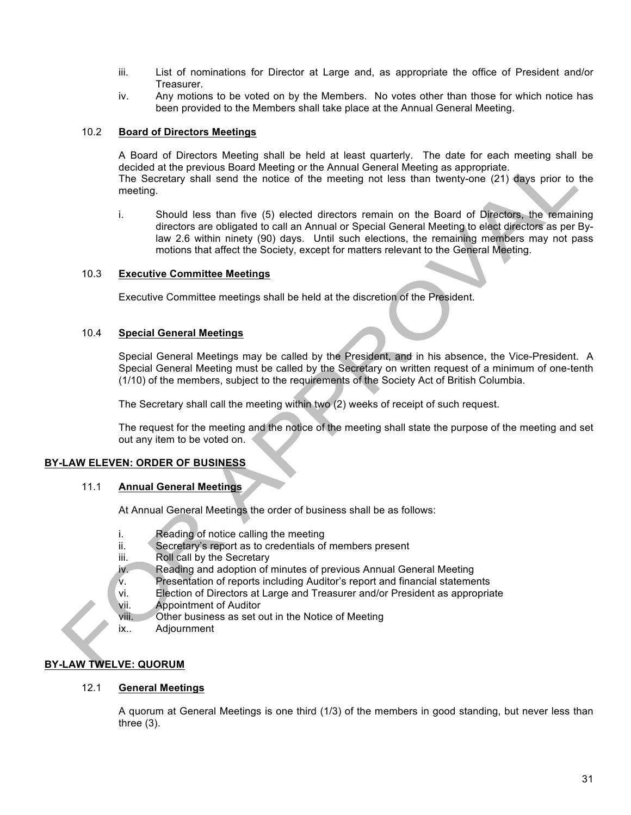- iii. List of nominations for Director at Large and, as appropriate the office of President and/or Treasurer.
- iv. Any motions to be voted on by the Members. No votes other than those for which notice has been provided to the Members shall take place at the Annual General Meeting.

### 10.2 **Board of Directors Meetings**

A Board of Directors Meeting shall be held at least quarterly. The date for each meeting shall be decided at the previous Board Meeting or the Annual General Meeting as appropriate.

The Secretary shall send the notice of the meeting not less than twenty-one (21) days prior to the meeting.

i. Should less than five (5) elected directors remain on the Board of Directors, the remaining directors are obligated to call an Annual or Special General Meeting to elect directors as per Bylaw 2.6 within ninety (90) days. Until such elections, the remaining members may not pass motions that affect the Society, except for matters relevant to the General Meeting.

### 10.3 **Executive Committee Meetings**

Executive Committee meetings shall be held at the discretion of the President.

### 10.4 **Special General Meetings**

Special General Meetings may be called by the President, and in his absence, the Vice-President. A Special General Meeting must be called by the Secretary on written request of a minimum of one-tenth (1/10) of the members, subject to the requirements of the Society Act of British Columbia.

The Secretary shall call the meeting within two (2) weeks of receipt of such request.

The request for the meeting and the notice of the meeting shall state the purpose of the meeting and set out any item to be voted on.

# **BY-LAW ELEVEN: ORDER OF BUSINESS**

#### 11.1 **Annual General Meetings**

At Annual General Meetings the order of business shall be as follows:

- i. Reading of notice calling the meeting
- ii. Secretary's report as to credentials of members present
- iii. Roll call by the Secretary
- iv. Reading and adoption of minutes of previous Annual General Meeting
- v. Presentation of reports including Auditor's report and financial statements
- vi. Election of Directors at Large and Treasurer and/or President as appropriate
- vii. Appointment of Auditor
- viii. Other business as set out in the Notice of Meeting
- ix.. Adjournment

# **BY-LAW TWELVE: QUORUM**

# 12.1 **General Meetings**

A quorum at General Meetings is one third (1/3) of the members in good standing, but never less than three (3).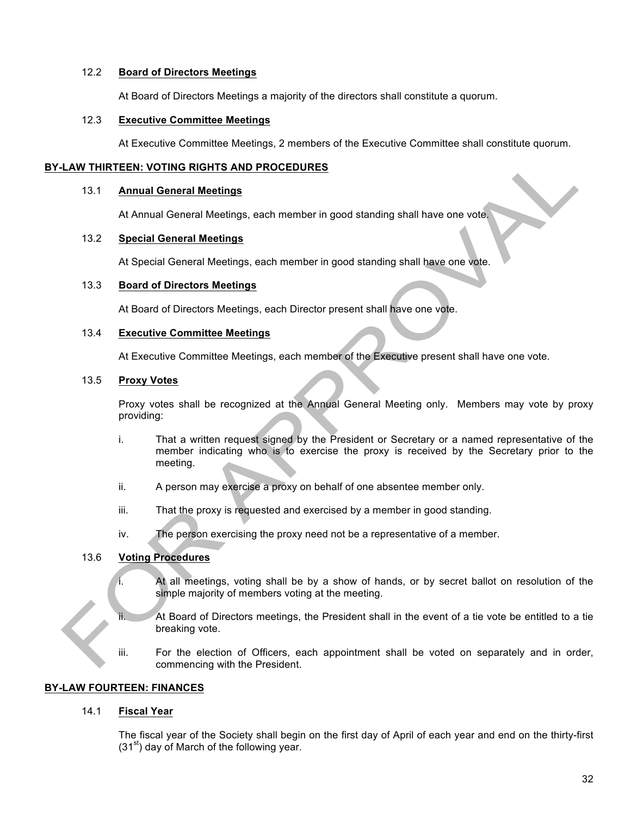### 12.2 **Board of Directors Meetings**

At Board of Directors Meetings a majority of the directors shall constitute a quorum.

#### 12.3 **Executive Committee Meetings**

At Executive Committee Meetings, 2 members of the Executive Committee shall constitute quorum.

# **BY-LAW THIRTEEN: VOTING RIGHTS AND PROCEDURES**

#### 13.1 **Annual General Meetings**

At Annual General Meetings, each member in good standing shall have one vote.

# 13.2 **Special General Meetings**

At Special General Meetings, each member in good standing shall have one vote.

#### 13.3 **Board of Directors Meetings**

At Board of Directors Meetings, each Director present shall have one vote.

### 13.4 **Executive Committee Meetings**

At Executive Committee Meetings, each member of the Executive present shall have one vote.

### 13.5 **Proxy Votes**

Proxy votes shall be recognized at the Annual General Meeting only. Members may vote by proxy providing:

- i. That a written request signed by the President or Secretary or a named representative of the member indicating who is to exercise the proxy is received by the Secretary prior to the meeting.
- ii. A person may exercise a proxy on behalf of one absentee member only.
- iii. That the proxy is requested and exercised by a member in good standing.
- iv. The person exercising the proxy need not be a representative of a member.

# 13.6 **Voting Procedures**

- i. At all meetings, voting shall be by a show of hands, or by secret ballot on resolution of the simple majority of members voting at the meeting.
	- At Board of Directors meetings, the President shall in the event of a tie vote be entitled to a tie breaking vote.
- iii. For the election of Officers, each appointment shall be voted on separately and in order, commencing with the President.

# **BY-LAW FOURTEEN: FINANCES**

# 14.1 **Fiscal Year**

The fiscal year of the Society shall begin on the first day of April of each year and end on the thirty-first  $(31<sup>st</sup>)$  day of March of the following year.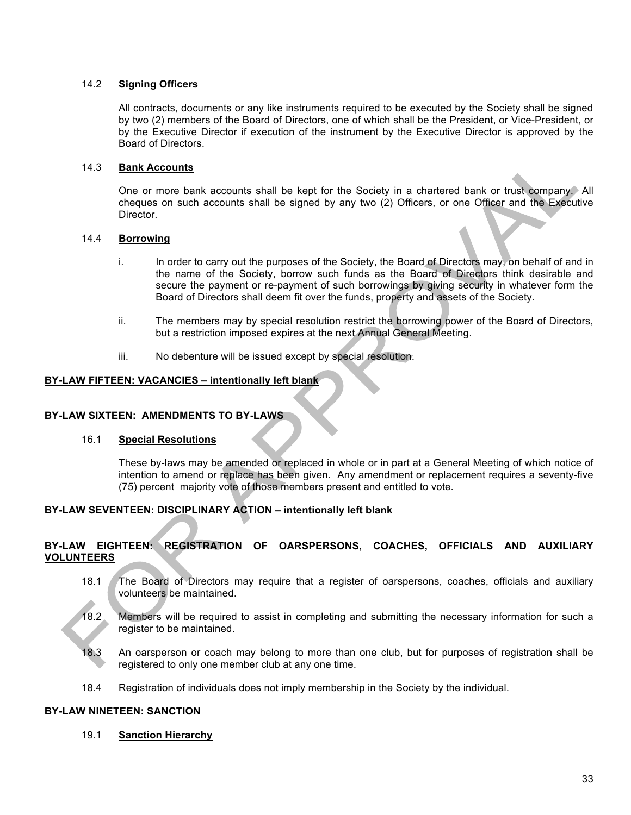# 14.2 **Signing Officers**

All contracts, documents or any like instruments required to be executed by the Society shall be signed by two (2) members of the Board of Directors, one of which shall be the President, or Vice-President, or by the Executive Director if execution of the instrument by the Executive Director is approved by the Board of Directors.

# 14.3 **Bank Accounts**

One or more bank accounts shall be kept for the Society in a chartered bank or trust company. All cheques on such accounts shall be signed by any two (2) Officers, or one Officer and the Executive Director.

### 14.4 **Borrowing**

- i. In order to carry out the purposes of the Society, the Board of Directors may, on behalf of and in the name of the Society, borrow such funds as the Board of Directors think desirable and secure the payment or re-payment of such borrowings by giving security in whatever form the Board of Directors shall deem fit over the funds, property and assets of the Society.
- ii. The members may by special resolution restrict the borrowing power of the Board of Directors, but a restriction imposed expires at the next Annual General Meeting.
- iii. No debenture will be issued except by special resolution.

### **BY-LAW FIFTEEN: VACANCIES – intentionally left blank**

#### **BY-LAW SIXTEEN: AMENDMENTS TO BY-LAWS**

#### 16.1 **Special Resolutions**

These by-laws may be amended or replaced in whole or in part at a General Meeting of which notice of intention to amend or replace has been given. Any amendment or replacement requires a seventy-five (75) percent majority vote of those members present and entitled to vote.

# **BY-LAW SEVENTEEN: DISCIPLINARY ACTION – intentionally left blank**

# **BY-LAW EIGHTEEN: REGISTRATION OF OARSPERSONS, COACHES, OFFICIALS AND AUXILIARY VOLUNTEERS**

- 18.1 The Board of Directors may require that a register of oarspersons, coaches, officials and auxiliary volunteers be maintained.
- 18.2 Members will be required to assist in completing and submitting the necessary information for such a register to be maintained.
- 18.3 An oarsperson or coach may belong to more than one club, but for purposes of registration shall be registered to only one member club at any one time.
- 18.4 Registration of individuals does not imply membership in the Society by the individual.

#### **BY-LAW NINETEEN: SANCTION**

19.1 **Sanction Hierarchy**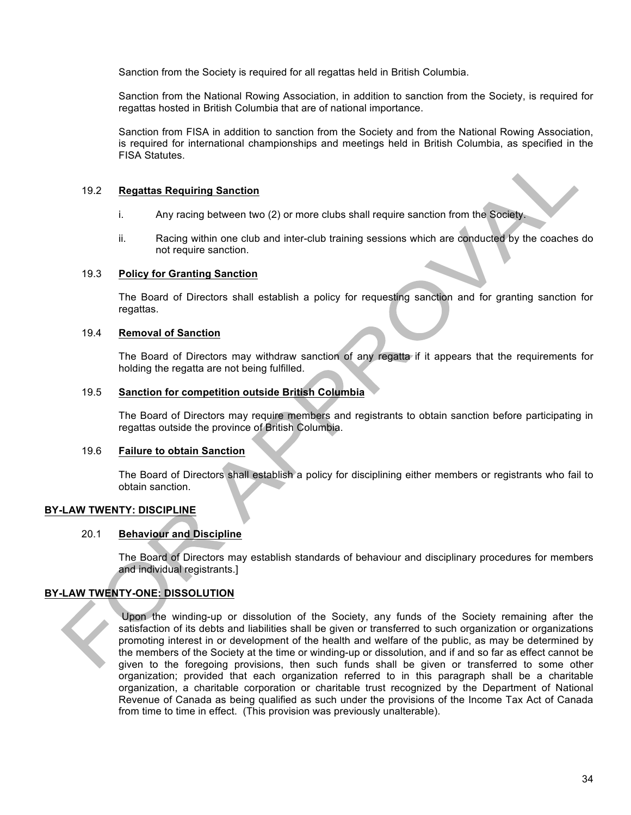Sanction from the Society is required for all regattas held in British Columbia.

Sanction from the National Rowing Association, in addition to sanction from the Society, is required for regattas hosted in British Columbia that are of national importance.

Sanction from FISA in addition to sanction from the Society and from the National Rowing Association, is required for international championships and meetings held in British Columbia, as specified in the FISA Statutes.

#### 19.2 **Regattas Requiring Sanction**

- i. Any racing between two (2) or more clubs shall require sanction from the Society.
- ii. Racing within one club and inter-club training sessions which are conducted by the coaches do not require sanction.

#### 19.3 **Policy for Granting Sanction**

The Board of Directors shall establish a policy for requesting sanction and for granting sanction for regattas.

### 19.4 **Removal of Sanction**

The Board of Directors may withdraw sanction of any regatta if it appears that the requirements for holding the regatta are not being fulfilled.

### 19.5 **Sanction for competition outside British Columbia**

The Board of Directors may require members and registrants to obtain sanction before participating in regattas outside the province of British Columbia.

#### 19.6 **Failure to obtain Sanction**

The Board of Directors shall establish a policy for disciplining either members or registrants who fail to obtain sanction.

# **BY-LAW TWENTY: DISCIPLINE**

# 20.1 **Behaviour and Discipline**

The Board of Directors may establish standards of behaviour and disciplinary procedures for members and individual registrants.]

# **BY-LAW TWENTY-ONE: DISSOLUTION**

Upon the winding-up or dissolution of the Society, any funds of the Society remaining after the satisfaction of its debts and liabilities shall be given or transferred to such organization or organizations promoting interest in or development of the health and welfare of the public, as may be determined by the members of the Society at the time or winding-up or dissolution, and if and so far as effect cannot be given to the foregoing provisions, then such funds shall be given or transferred to some other organization; provided that each organization referred to in this paragraph shall be a charitable organization, a charitable corporation or charitable trust recognized by the Department of National Revenue of Canada as being qualified as such under the provisions of the Income Tax Act of Canada from time to time in effect. (This provision was previously unalterable).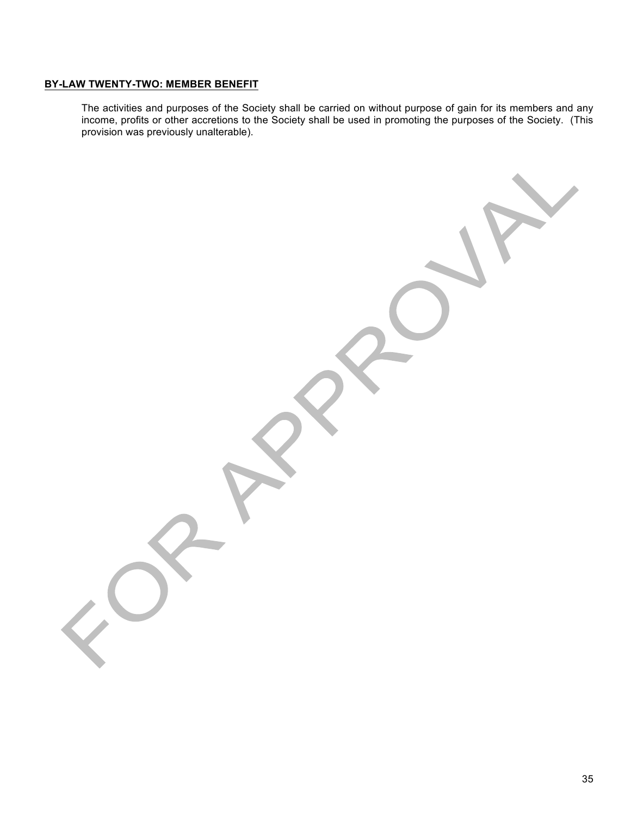# **BY-LAW TWENTY-TWO: MEMBER BENEFIT**

The activities and purposes of the Society shall be carried on without purpose of gain for its members and any income, profits or other accretions to the Society shall be used in promoting the purposes of the Society. (This provision was previously unalterable).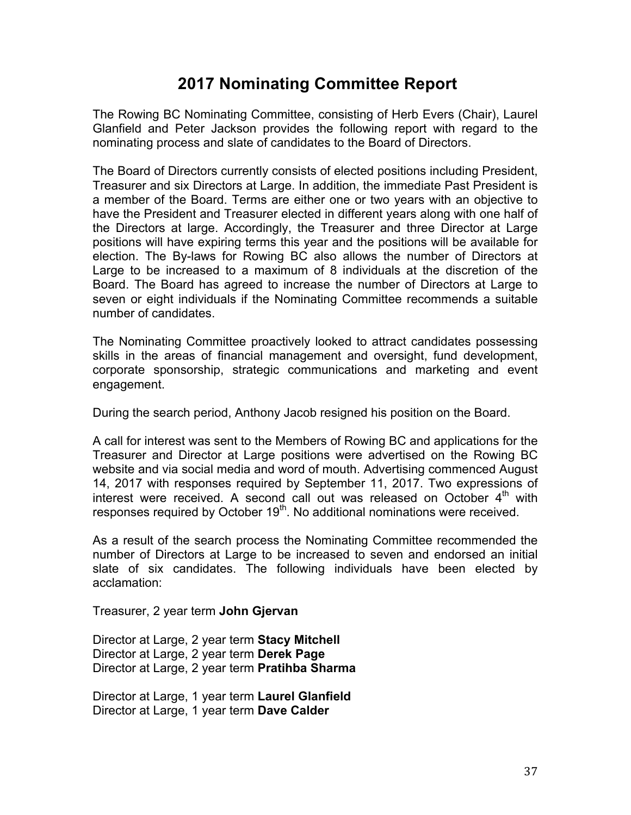# **2017 Nominating Committee Report**

The Rowing BC Nominating Committee, consisting of Herb Evers (Chair), Laurel Glanfield and Peter Jackson provides the following report with regard to the nominating process and slate of candidates to the Board of Directors.

The Board of Directors currently consists of elected positions including President, Treasurer and six Directors at Large. In addition, the immediate Past President is a member of the Board. Terms are either one or two years with an objective to have the President and Treasurer elected in different years along with one half of the Directors at large. Accordingly, the Treasurer and three Director at Large positions will have expiring terms this year and the positions will be available for election. The By-laws for Rowing BC also allows the number of Directors at Large to be increased to a maximum of 8 individuals at the discretion of the Board. The Board has agreed to increase the number of Directors at Large to seven or eight individuals if the Nominating Committee recommends a suitable number of candidates.

The Nominating Committee proactively looked to attract candidates possessing skills in the areas of financial management and oversight, fund development, corporate sponsorship, strategic communications and marketing and event engagement.

During the search period, Anthony Jacob resigned his position on the Board.

A call for interest was sent to the Members of Rowing BC and applications for the Treasurer and Director at Large positions were advertised on the Rowing BC website and via social media and word of mouth. Advertising commenced August 14, 2017 with responses required by September 11, 2017. Two expressions of interest were received. A second call out was released on October  $4<sup>th</sup>$ with responses required by October  $19<sup>th</sup>$ . No additional nominations were received.

As a result of the search process the Nominating Committee recommended the number of Directors at Large to be increased to seven and endorsed an initial slate of six candidates. The following individuals have been elected by acclamation:

Treasurer, 2 year term **John Gjervan**

Director at Large, 2 year term **Stacy Mitchell** Director at Large, 2 year term **Derek Page** Director at Large, 2 year term **Pratihba Sharma**

Director at Large, 1 year term **Laurel Glanfield** Director at Large, 1 year term **Dave Calder**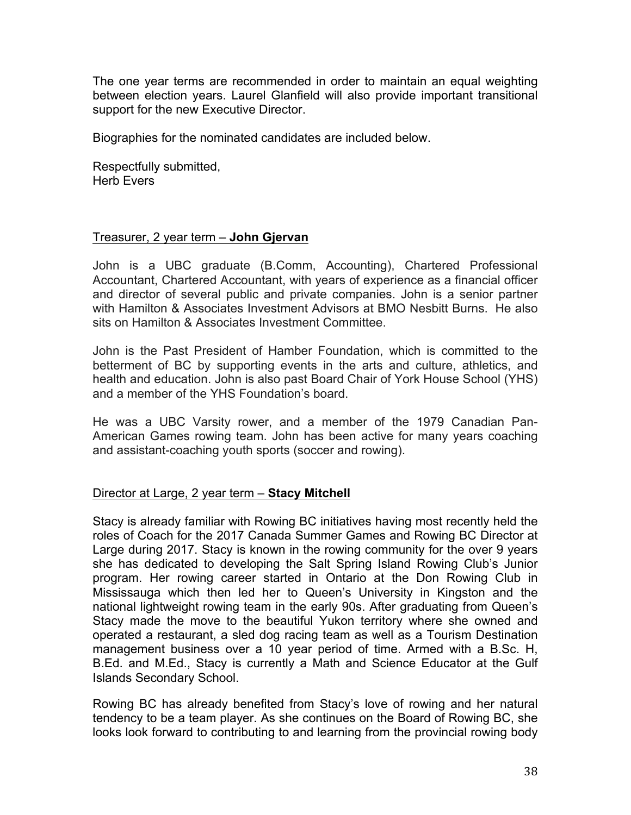The one year terms are recommended in order to maintain an equal weighting between election years. Laurel Glanfield will also provide important transitional support for the new Executive Director.

Biographies for the nominated candidates are included below.

Respectfully submitted, Herb Evers

# Treasurer, 2 year term – **John Gjervan**

John is a UBC graduate (B.Comm, Accounting), Chartered Professional Accountant, Chartered Accountant, with years of experience as a financial officer and director of several public and private companies. John is a senior partner with Hamilton & Associates Investment Advisors at BMO Nesbitt Burns. He also sits on Hamilton & Associates Investment Committee.

John is the Past President of Hamber Foundation, which is committed to the betterment of BC by supporting events in the arts and culture, athletics, and health and education. John is also past Board Chair of York House School (YHS) and a member of the YHS Foundation's board.

He was a UBC Varsity rower, and a member of the 1979 Canadian Pan-American Games rowing team. John has been active for many years coaching and assistant-coaching youth sports (soccer and rowing).

# Director at Large, 2 year term – **Stacy Mitchell**

Stacy is already familiar with Rowing BC initiatives having most recently held the roles of Coach for the 2017 Canada Summer Games and Rowing BC Director at Large during 2017. Stacy is known in the rowing community for the over 9 years she has dedicated to developing the Salt Spring Island Rowing Club's Junior program. Her rowing career started in Ontario at the Don Rowing Club in Mississauga which then led her to Queen's University in Kingston and the national lightweight rowing team in the early 90s. After graduating from Queen's Stacy made the move to the beautiful Yukon territory where she owned and operated a restaurant, a sled dog racing team as well as a Tourism Destination management business over a 10 year period of time. Armed with a B.Sc. H, B.Ed. and M.Ed., Stacy is currently a Math and Science Educator at the Gulf Islands Secondary School.

Rowing BC has already benefited from Stacy's love of rowing and her natural tendency to be a team player. As she continues on the Board of Rowing BC, she looks look forward to contributing to and learning from the provincial rowing body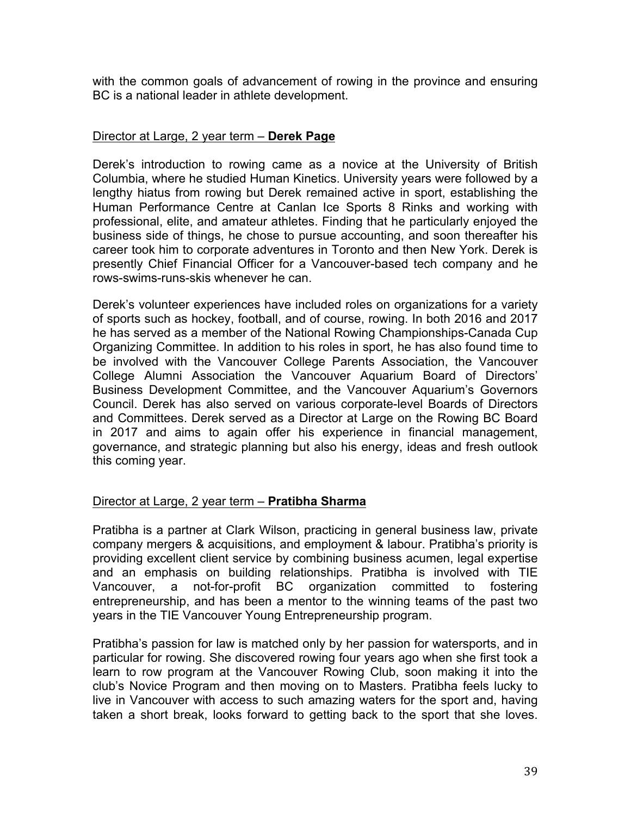with the common goals of advancement of rowing in the province and ensuring BC is a national leader in athlete development.

# Director at Large, 2 year term – **Derek Page**

Derek's introduction to rowing came as a novice at the University of British Columbia, where he studied Human Kinetics. University years were followed by a lengthy hiatus from rowing but Derek remained active in sport, establishing the Human Performance Centre at Canlan Ice Sports 8 Rinks and working with professional, elite, and amateur athletes. Finding that he particularly enjoyed the business side of things, he chose to pursue accounting, and soon thereafter his career took him to corporate adventures in Toronto and then New York. Derek is presently Chief Financial Officer for a Vancouver-based tech company and he rows-swims-runs-skis whenever he can.

Derek's volunteer experiences have included roles on organizations for a variety of sports such as hockey, football, and of course, rowing. In both 2016 and 2017 he has served as a member of the National Rowing Championships-Canada Cup Organizing Committee. In addition to his roles in sport, he has also found time to be involved with the Vancouver College Parents Association, the Vancouver College Alumni Association the Vancouver Aquarium Board of Directors' Business Development Committee, and the Vancouver Aquarium's Governors Council. Derek has also served on various corporate-level Boards of Directors and Committees. Derek served as a Director at Large on the Rowing BC Board in 2017 and aims to again offer his experience in financial management, governance, and strategic planning but also his energy, ideas and fresh outlook this coming year.

# Director at Large, 2 year term – **Pratibha Sharma**

Pratibha is a partner at Clark Wilson, practicing in general business law, private company mergers & acquisitions, and employment & labour. Pratibha's priority is providing excellent client service by combining business acumen, legal expertise and an emphasis on building relationships. Pratibha is involved with TIE Vancouver, a not-for-profit BC organization committed to fostering entrepreneurship, and has been a mentor to the winning teams of the past two years in the TIE Vancouver Young Entrepreneurship program.

Pratibha's passion for law is matched only by her passion for watersports, and in particular for rowing. She discovered rowing four years ago when she first took a learn to row program at the Vancouver Rowing Club, soon making it into the club's Novice Program and then moving on to Masters. Pratibha feels lucky to live in Vancouver with access to such amazing waters for the sport and, having taken a short break, looks forward to getting back to the sport that she loves.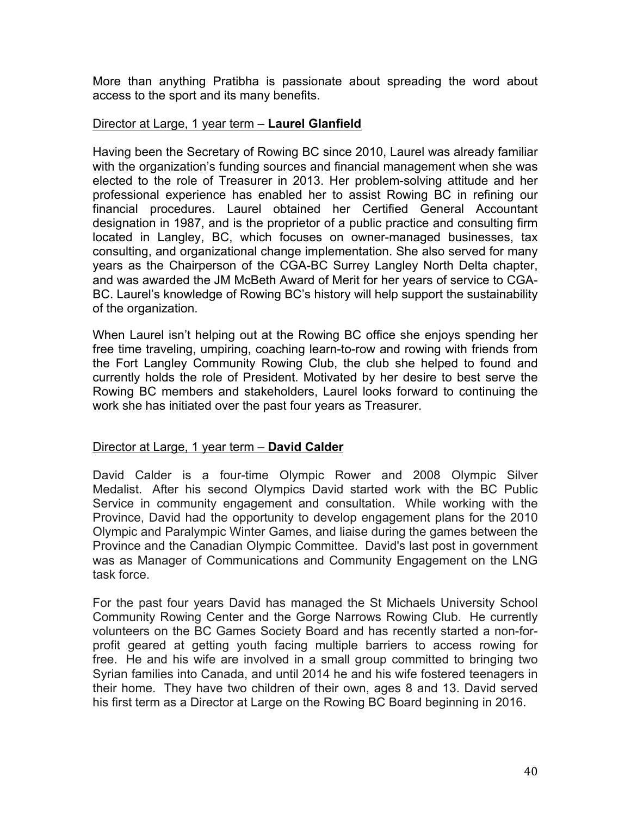More than anything Pratibha is passionate about spreading the word about access to the sport and its many benefits.

# Director at Large, 1 year term – **Laurel Glanfield**

Having been the Secretary of Rowing BC since 2010, Laurel was already familiar with the organization's funding sources and financial management when she was elected to the role of Treasurer in 2013. Her problem-solving attitude and her professional experience has enabled her to assist Rowing BC in refining our financial procedures. Laurel obtained her Certified General Accountant designation in 1987, and is the proprietor of a public practice and consulting firm located in Langley, BC, which focuses on owner-managed businesses, tax consulting, and organizational change implementation. She also served for many years as the Chairperson of the CGA-BC Surrey Langley North Delta chapter, and was awarded the JM McBeth Award of Merit for her years of service to CGA-BC. Laurel's knowledge of Rowing BC's history will help support the sustainability of the organization.

When Laurel isn't helping out at the Rowing BC office she enjoys spending her free time traveling, umpiring, coaching learn-to-row and rowing with friends from the Fort Langley Community Rowing Club, the club she helped to found and currently holds the role of President. Motivated by her desire to best serve the Rowing BC members and stakeholders, Laurel looks forward to continuing the work she has initiated over the past four years as Treasurer.

# Director at Large, 1 year term – **David Calder**

David Calder is a four-time Olympic Rower and 2008 Olympic Silver Medalist. After his second Olympics David started work with the BC Public Service in community engagement and consultation. While working with the Province, David had the opportunity to develop engagement plans for the 2010 Olympic and Paralympic Winter Games, and liaise during the games between the Province and the Canadian Olympic Committee. David's last post in government was as Manager of Communications and Community Engagement on the LNG task force.

For the past four years David has managed the St Michaels University School Community Rowing Center and the Gorge Narrows Rowing Club. He currently volunteers on the BC Games Society Board and has recently started a non-forprofit geared at getting youth facing multiple barriers to access rowing for free. He and his wife are involved in a small group committed to bringing two Syrian families into Canada, and until 2014 he and his wife fostered teenagers in their home. They have two children of their own, ages 8 and 13. David served his first term as a Director at Large on the Rowing BC Board beginning in 2016.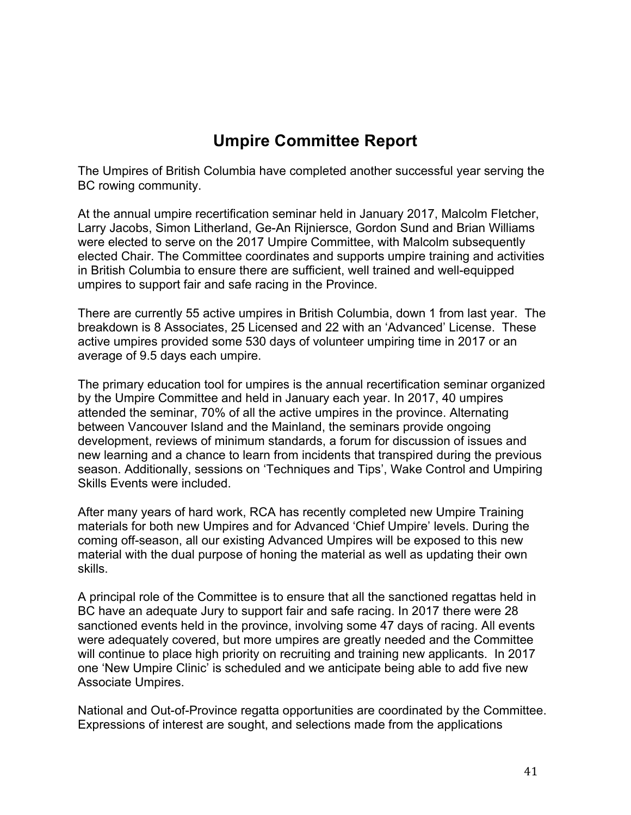# **Umpire Committee Report**

The Umpires of British Columbia have completed another successful year serving the BC rowing community.

At the annual umpire recertification seminar held in January 2017, Malcolm Fletcher, Larry Jacobs, Simon Litherland, Ge-An Rijniersce, Gordon Sund and Brian Williams were elected to serve on the 2017 Umpire Committee, with Malcolm subsequently elected Chair. The Committee coordinates and supports umpire training and activities in British Columbia to ensure there are sufficient, well trained and well-equipped umpires to support fair and safe racing in the Province.

There are currently 55 active umpires in British Columbia, down 1 from last year. The breakdown is 8 Associates, 25 Licensed and 22 with an 'Advanced' License. These active umpires provided some 530 days of volunteer umpiring time in 2017 or an average of 9.5 days each umpire.

The primary education tool for umpires is the annual recertification seminar organized by the Umpire Committee and held in January each year. In 2017, 40 umpires attended the seminar, 70% of all the active umpires in the province. Alternating between Vancouver Island and the Mainland, the seminars provide ongoing development, reviews of minimum standards, a forum for discussion of issues and new learning and a chance to learn from incidents that transpired during the previous season. Additionally, sessions on 'Techniques and Tips', Wake Control and Umpiring Skills Events were included.

After many years of hard work, RCA has recently completed new Umpire Training materials for both new Umpires and for Advanced 'Chief Umpire' levels. During the coming off-season, all our existing Advanced Umpires will be exposed to this new material with the dual purpose of honing the material as well as updating their own skills.

A principal role of the Committee is to ensure that all the sanctioned regattas held in BC have an adequate Jury to support fair and safe racing. In 2017 there were 28 sanctioned events held in the province, involving some 47 days of racing. All events were adequately covered, but more umpires are greatly needed and the Committee will continue to place high priority on recruiting and training new applicants. In 2017 one 'New Umpire Clinic' is scheduled and we anticipate being able to add five new Associate Umpires.

National and Out-of-Province regatta opportunities are coordinated by the Committee. Expressions of interest are sought, and selections made from the applications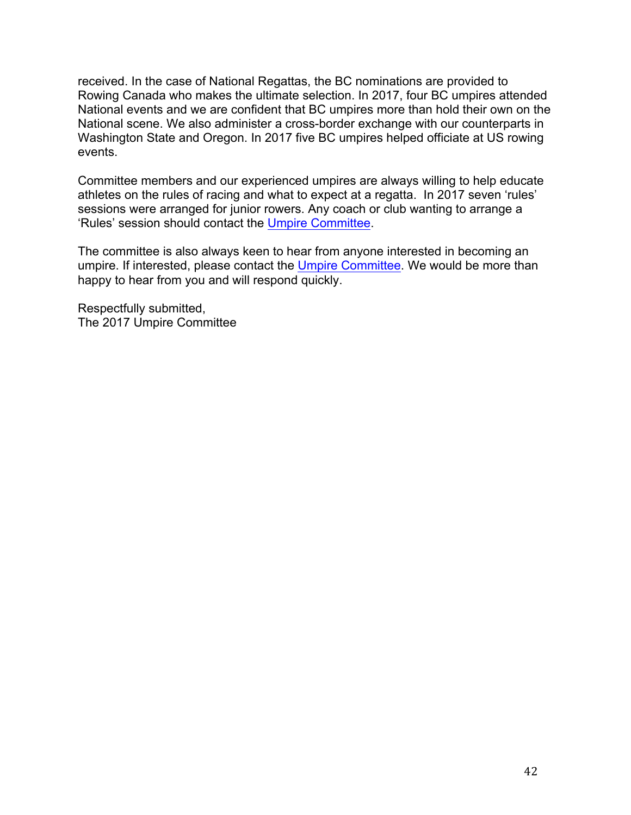received. In the case of National Regattas, the BC nominations are provided to Rowing Canada who makes the ultimate selection. In 2017, four BC umpires attended National events and we are confident that BC umpires more than hold their own on the National scene. We also administer a cross-border exchange with our counterparts in Washington State and Oregon. In 2017 five BC umpires helped officiate at US rowing events.

Committee members and our experienced umpires are always willing to help educate athletes on the rules of racing and what to expect at a regatta. In 2017 seven 'rules' sessions were arranged for junior rowers. Any coach or club wanting to arrange a 'Rules' session should contact the Umpire Committee.

The committee is also always keen to hear from anyone interested in becoming an umpire. If interested, please contact the Umpire Committee. We would be more than happy to hear from you and will respond quickly.

Respectfully submitted, The 2017 Umpire Committee